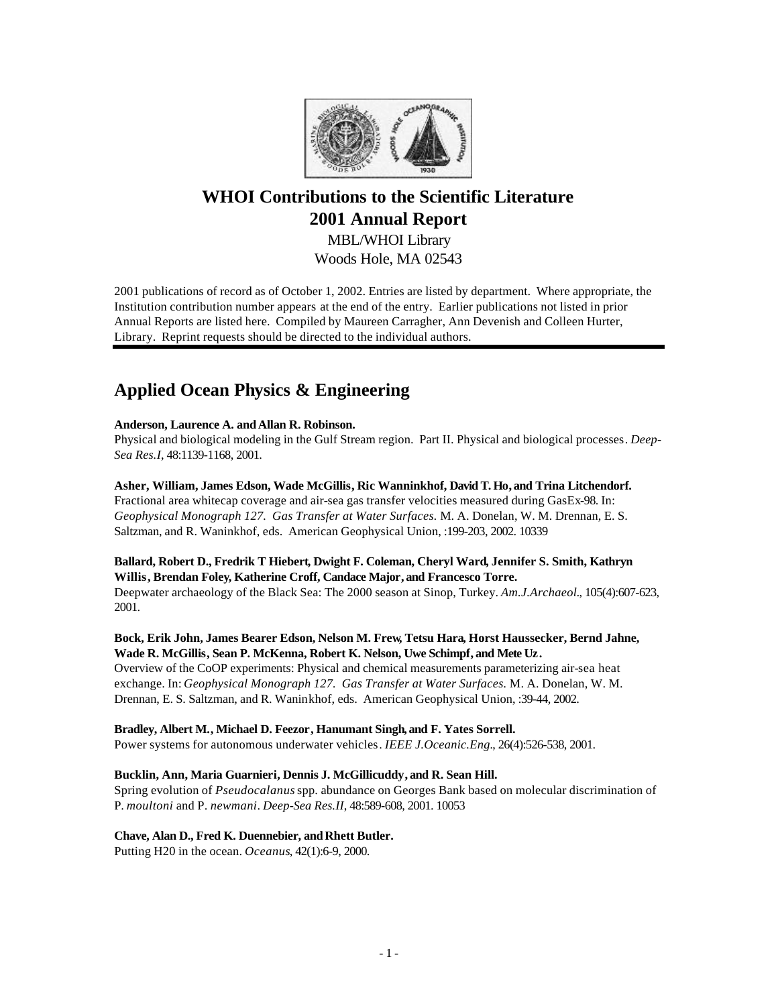

# **WHOI Contributions to the Scientific Literature 2001 Annual Report**

MBL/WHOI Library Woods Hole, MA 02543

2001 publications of record as of October 1, 2002. Entries are listed by department. Where appropriate, the Institution contribution number appears at the end of the entry. Earlier publications not listed in prior Annual Reports are listed here. Compiled by Maureen Carragher, Ann Devenish and Colleen Hurter, Library. Reprint requests should be directed to the individual authors.

# **Applied Ocean Physics & Engineering**

# **Anderson, Laurence A. andAllan R. Robinson.**

Physical and biological modeling in the Gulf Stream region. Part II. Physical and biological processes. *Deep-Sea Res.I*, 48:1139-1168, 2001.

**Asher, William, James Edson, Wade McGillis, Ric Wanninkhof, David T. Ho, and Trina Litchendorf.** Fractional area whitecap coverage and air-sea gas transfer velocities measured during GasEx-98. In: *Geophysical Monograph 127. Gas Transfer at Water Surfaces.* M. A. Donelan, W. M. Drennan, E. S. Saltzman, and R. Waninkhof, eds. American Geophysical Union, :199-203, 2002. 10339

# **Ballard, Robert D., Fredrik T Hiebert, Dwight F. Coleman, Cheryl Ward, Jennifer S. Smith, Kathryn Willis, Brendan Foley, Katherine Croff, Candace Major, and Francesco Torre.**

Deepwater archaeology of the Black Sea: The 2000 season at Sinop, Turkey. *Am.J.Archaeol.*, 105(4):607-623, 2001.

# **Bock, Erik John, James Bearer Edson, Nelson M. Frew, Tetsu Hara, Horst Haussecker, Bernd Jahne, Wade R. McGillis, Sean P. McKenna, Robert K. Nelson, Uwe Schimpf, and Mete Uz.**

Overview of the CoOP experiments: Physical and chemical measurements parameterizing air-sea heat exchange. In: *Geophysical Monograph 127. Gas Transfer at Water Surfaces.* M. A. Donelan, W. M. Drennan, E. S. Saltzman, and R. Waninkhof, eds. American Geophysical Union, :39-44, 2002.

# **Bradley, Albert M., Michael D. Feezor, Hanumant Singh, and F. Yates Sorrell.**

Power systems for autonomous underwater vehicles. *IEEE J.Oceanic.Eng.*, 26(4):526-538, 2001.

# **Bucklin, Ann, Maria Guarnieri, Dennis J. McGillicuddy, and R. Sean Hill.**

Spring evolution of *Pseudocalanus* spp. abundance on Georges Bank based on molecular discrimination of P. *moultoni* and P. *newmani*. *Deep-Sea Res.II*, 48:589-608, 2001. 10053

# **Chave, Alan D., Fred K. Duennebier, and Rhett Butler.**

Putting H20 in the ocean. *Oceanus*, 42(1):6-9, 2000.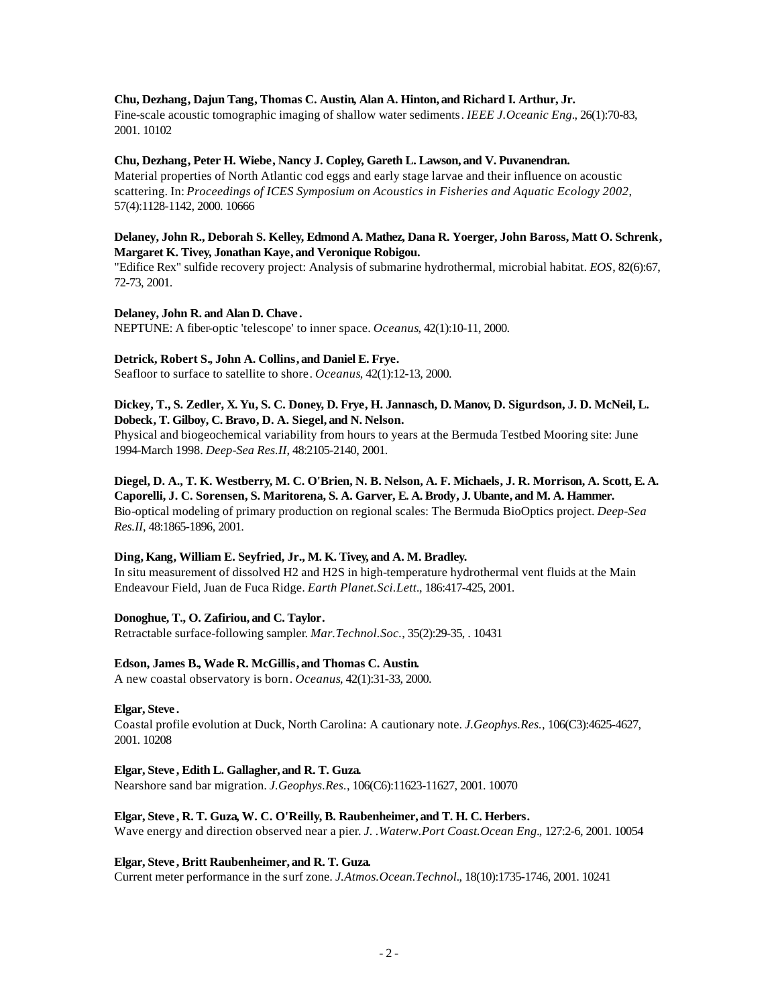#### **Chu, Dezhang, Dajun Tang, Thomas C. Austin, Alan A. Hinton, and Richard I. Arthur, Jr.**

Fine-scale acoustic tomographic imaging of shallow water sediments. *IEEE J.Oceanic Eng.*, 26(1):70-83, 2001. 10102

#### **Chu, Dezhang, Peter H. Wiebe, Nancy J. Copley, Gareth L. Lawson, and V. Puvanendran.**

Material properties of North Atlantic cod eggs and early stage larvae and their influence on acoustic scattering. In: *Proceedings of ICES Symposium on Acoustics in Fisheries and Aquatic Ecology 2002*, 57(4):1128-1142, 2000. 10666

#### **Delaney, John R., Deborah S. Kelley, Edmond A. Mathez, Dana R. Yoerger, John Baross, Matt O. Schrenk, Margaret K. Tivey, Jonathan Kaye, and Veronique Robigou.**

"Edifice Rex" sulfide recovery project: Analysis of submarine hydrothermal, microbial habitat. *EOS*, 82(6):67, 72-73, 2001.

#### **Delaney, John R. and Alan D. Chave .**

NEPTUNE: A fiber-optic 'telescope' to inner space. *Oceanus*, 42(1):10-11, 2000.

#### **Detrick, Robert S., John A. Collins, and Daniel E. Frye.**

Seafloor to surface to satellite to shore. *Oceanus*, 42(1):12-13, 2000.

#### **Dickey, T., S. Zedler, X. Yu, S. C. Doney, D. Frye, H. Jannasch, D. Manov, D. Sigurdson, J. D. McNeil, L. Dobeck, T. Gilboy, C. Bravo, D. A. Siegel, and N. Nelson.**

Physical and biogeochemical variability from hours to years at the Bermuda Testbed Mooring site: June 1994-March 1998. *Deep-Sea Res.II*, 48:2105-2140, 2001.

# **Diegel, D. A., T. K. Westberry, M. C. O'Brien, N. B. Nelson, A. F. Michaels, J. R. Morrison, A. Scott, E. A. Caporelli, J. C. Sorensen, S. Maritorena, S. A. Garver, E. A. Brody, J. Ubante, and M. A. Hammer.** Bio-optical modeling of primary production on regional scales: The Bermuda BioOptics project. *Deep-Sea Res.II*, 48:1865-1896, 2001.

#### **Ding, Kang, William E. Seyfried, Jr., M. K. Tivey, and A. M. Bradley.**

In situ measurement of dissolved H2 and H2S in high-temperature hydrothermal vent fluids at the Main Endeavour Field, Juan de Fuca Ridge. *Earth Planet.Sci.Lett.*, 186:417-425, 2001.

#### **Donoghue, T., O. Zafiriou, and C. Taylor.**

Retractable surface-following sampler. *Mar.Technol.Soc.*, 35(2):29-35, . 10431

#### **Edson, James B., Wade R. McGillis, and Thomas C. Austin.**

A new coastal observatory is born. *Oceanus*, 42(1):31-33, 2000.

#### **Elgar, Steve .**

Coastal profile evolution at Duck, North Carolina: A cautionary note. *J.Geophys.Res.*, 106(C3):4625-4627, 2001. 10208

#### **Elgar, Steve , Edith L. Gallagher, and R. T. Guza.**

Nearshore sand bar migration. *J.Geophys.Res.*, 106(C6):11623-11627, 2001. 10070

#### **Elgar, Steve , R. T. Guza, W. C. O'Reilly, B. Raubenheimer, and T. H. C. Herbers.**

Wave energy and direction observed near a pier. *J. .Waterw.Port Coast.Ocean Eng.*, 127:2-6, 2001. 10054

#### **Elgar, Steve , Britt Raubenheimer, and R. T. Guza.**

Current meter performance in the surf zone. *J.Atmos.Ocean.Technol.*, 18(10):1735-1746, 2001. 10241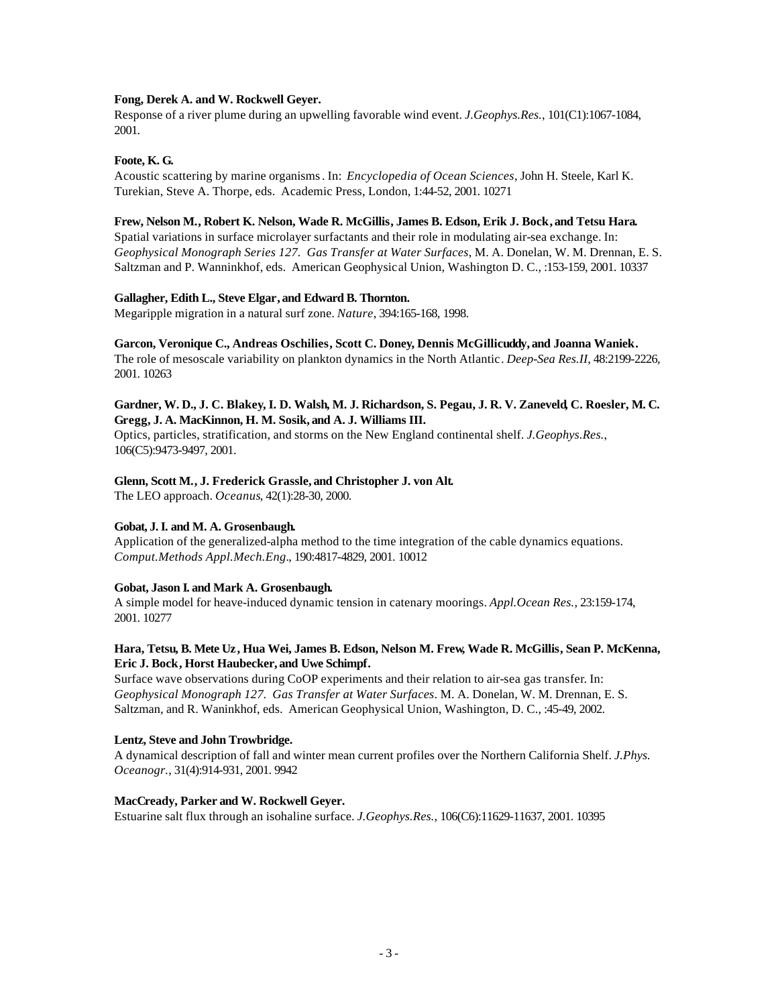#### **Fong, Derek A. and W. Rockwell Geyer.**

Response of a river plume during an upwelling favorable wind event. *J.Geophys.Res.*, 101(C1):1067-1084, 2001.

### **Foote, K. G.**

Acoustic scattering by marine organisms. In: *Encyclopedia of Ocean Sciences*, John H. Steele, Karl K. Turekian, Steve A. Thorpe, eds. Academic Press, London, 1:44-52, 2001. 10271

#### **Frew, Nelson M., Robert K. Nelson, Wade R. McGillis, James B. Edson, Erik J. Bock, and Tetsu Hara.**

Spatial variations in surface microlayer surfactants and their role in modulating air-sea exchange. In: *Geophysical Monograph Series 127. Gas Transfer at Water Surfaces*, M. A. Donelan, W. M. Drennan, E. S. Saltzman and P. Wanninkhof, eds. American Geophysical Union, Washington D. C., :153-159, 2001. 10337

#### **Gallagher, Edith L., Steve Elgar, and Edward B. Thornton.**

Megaripple migration in a natural surf zone. *Nature*, 394:165-168, 1998.

### **Garcon, Veronique C., Andreas Oschilies, Scott C. Doney, Dennis McGillicuddy, and Joanna Waniek.**

The role of mesoscale variability on plankton dynamics in the North Atlantic. *Deep-Sea Res.II*, 48:2199-2226, 2001. 10263

# **Gardner, W. D., J. C. Blakey, I. D. Walsh, M. J. Richardson, S. Pegau, J. R. V. Zaneveld, C. Roesler, M. C. Gregg, J. A. MacKinnon, H. M. Sosik, and A. J. Williams III.**

Optics, particles, stratification, and storms on the New England continental shelf. *J.Geophys.Res.*, 106(C5):9473-9497, 2001.

### **Glenn, Scott M., J. Frederick Grassle, and Christopher J. von Alt.**

The LEO approach. *Oceanus*, 42(1):28-30, 2000.

# **Gobat, J. I. and M. A. Grosenbaugh.**

Application of the generalized-alpha method to the time integration of the cable dynamics equations. *Comput.Methods Appl.Mech.Eng.*, 190:4817-4829, 2001. 10012

# **Gobat, Jason I. and Mark A. Grosenbaugh.**

A simple model for heave-induced dynamic tension in catenary moorings. *Appl.Ocean Res.*, 23:159-174, 2001. 10277

### **Hara, Tetsu, B. Mete Uz , Hua Wei, James B. Edson, Nelson M. Frew, Wade R. McGillis, Sean P. McKenna, Eric J. Bock, Horst Haubecker, and Uwe Schimpf.**

Surface wave observations during CoOP experiments and their relation to air-sea gas transfer. In: *Geophysical Monograph 127. Gas Transfer at Water Surfaces*. M. A. Donelan, W. M. Drennan, E. S. Saltzman, and R. Waninkhof, eds. American Geophysical Union, Washington, D. C., :45-49, 2002.

#### **Lentz, Steve and John Trowbridge.**

A dynamical description of fall and winter mean current profiles over the Northern California Shelf. *J.Phys. Oceanogr.*, 31(4):914-931, 2001. 9942

#### **MacCready, Parker and W. Rockwell Geyer.**

Estuarine salt flux through an isohaline surface. *J.Geophys.Res.*, 106(C6):11629-11637, 2001. 10395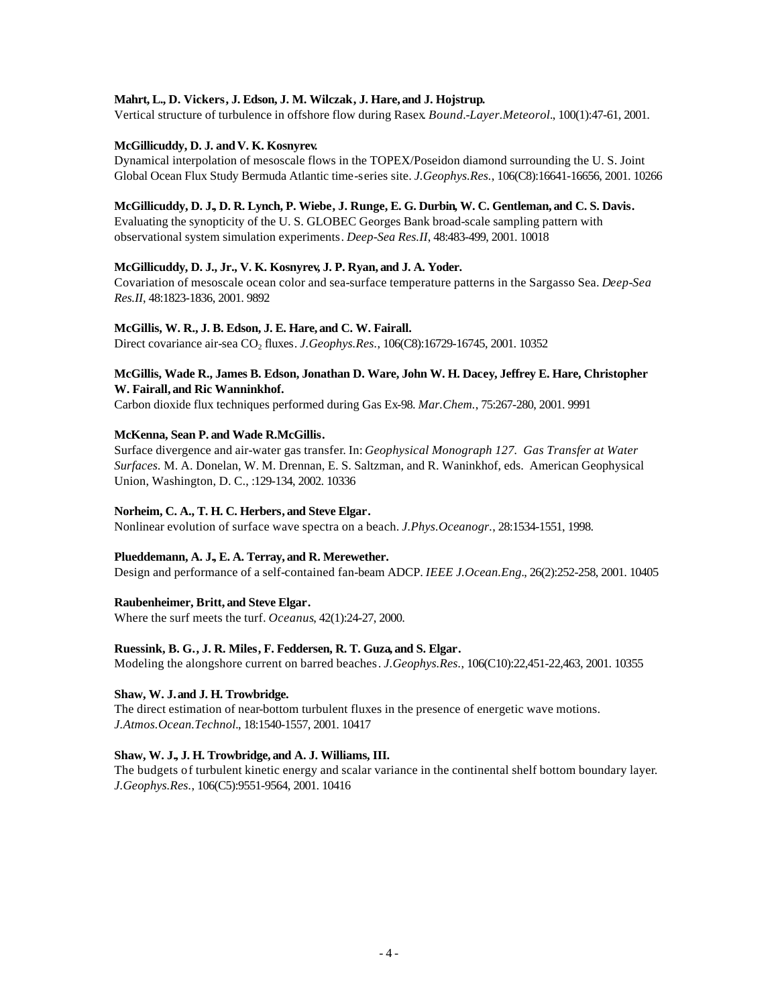#### **Mahrt, L., D. Vickers, J. Edson, J. M. Wilczak, J. Hare, and J. Hojstrup.**

Vertical structure of turbulence in offshore flow during Rasex. *Bound.-Layer.Meteorol.*, 100(1):47-61, 2001.

### **McGillicuddy, D. J. andV. K. Kosnyrev.**

Dynamical interpolation of mesoscale flows in the TOPEX/Poseidon diamond surrounding the U. S. Joint Global Ocean Flux Study Bermuda Atlantic time-series site. *J.Geophys.Res.*, 106(C8):16641-16656, 2001. 10266

#### **McGillicuddy, D. J., D. R. Lynch, P. Wiebe, J. Runge, E. G. Durbin, W. C. Gentleman, and C. S. Davis.**

Evaluating the synopticity of the U. S. GLOBEC Georges Bank broad-scale sampling pattern with observational system simulation experiments. *Deep-Sea Res.II*, 48:483-499, 2001. 10018

### **McGillicuddy, D. J., Jr., V. K. Kosnyrev, J. P. Ryan, and J. A. Yoder.**

Covariation of mesoscale ocean color and sea-surface temperature patterns in the Sargasso Sea. *Deep-Sea Res.II*, 48:1823-1836, 2001. 9892

### **McGillis, W. R., J. B. Edson, J. E. Hare, and C. W. Fairall.**

Direct covariance air-sea CO<sub>2</sub> fluxes. *J.Geophys.Res.*, 106(C8):16729-16745, 2001. 10352

#### **McGillis, Wade R., James B. Edson, Jonathan D. Ware, John W. H. Dacey, Jeffrey E. Hare, Christopher W. Fairall, and Ric Wanninkhof.**

Carbon dioxide flux techniques performed during Gas Ex-98. *Mar.Chem.*, 75:267-280, 2001. 9991

#### **McKenna, Sean P. and Wade R.McGillis.**

Surface divergence and air-water gas transfer. In: *Geophysical Monograph 127. Gas Transfer at Water Surfaces.* M. A. Donelan, W. M. Drennan, E. S. Saltzman, and R. Waninkhof, eds. American Geophysical Union, Washington, D. C., :129-134, 2002. 10336

#### **Norheim, C. A., T. H. C. Herbers, and Steve Elgar.**

Nonlinear evolution of surface wave spectra on a beach. *J.Phys.Oceanogr.*, 28:1534-1551, 1998.

#### **Plueddemann, A. J., E. A. Terray, and R. Merewether.**

Design and performance of a self-contained fan-beam ADCP. *IEEE J.Ocean.Eng.*, 26(2):252-258, 2001. 10405

#### **Raubenheimer, Britt, and Steve Elgar.**

Where the surf meets the turf. *Oceanus*, 42(1):24-27, 2000.

#### **Ruessink, B. G., J. R. Miles, F. Feddersen, R. T. Guza, and S. Elgar.**

Modeling the alongshore current on barred beaches. *J.Geophys.Res.*, 106(C10):22,451-22,463, 2001. 10355

#### **Shaw, W. J. and J. H. Trowbridge.**

The direct estimation of near-bottom turbulent fluxes in the presence of energetic wave motions. *J.Atmos.Ocean.Technol.*, 18:1540-1557, 2001. 10417

# **Shaw, W. J., J. H. Trowbridge, and A. J. Williams, III.**

The budgets of turbulent kinetic energy and scalar variance in the continental shelf bottom boundary layer. *J.Geophys.Res.*, 106(C5):9551-9564, 2001. 10416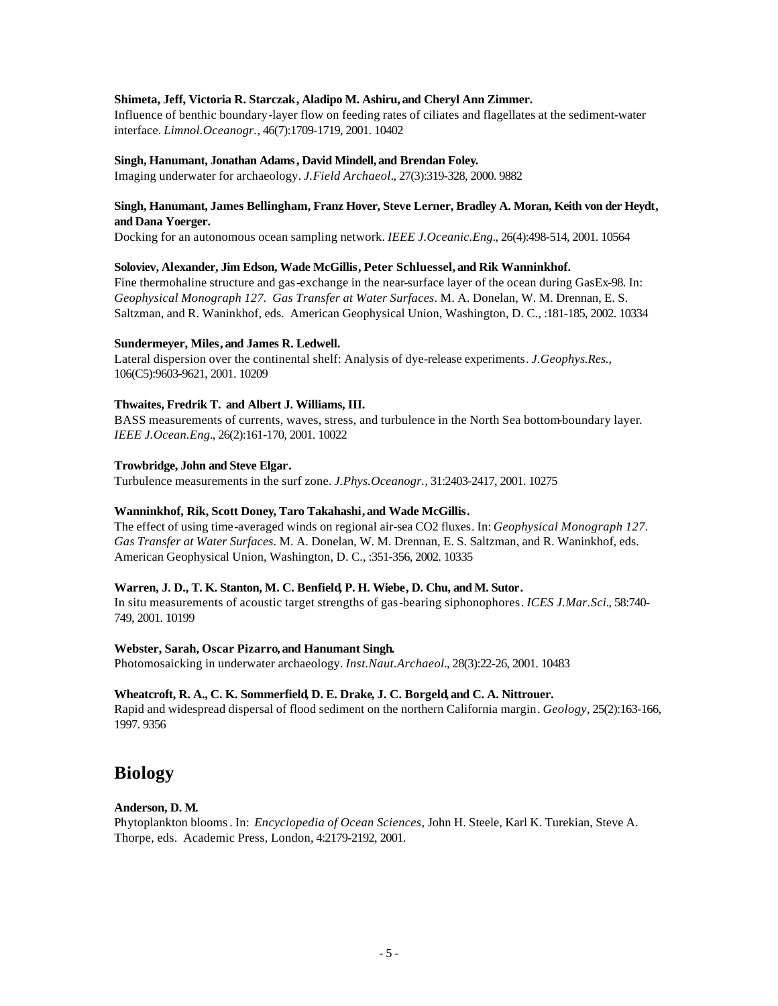#### **Shimeta, Jeff, Victoria R. Starczak, Aladipo M. Ashiru, and Cheryl Ann Zimmer.**

Influence of benthic boundary-layer flow on feeding rates of ciliates and flagellates at the sediment-water interface. *Limnol.Oceanogr.*, 46(7):1709-1719, 2001. 10402

#### **Singh, Hanumant, Jonathan Adams, David Mindell, and Brendan Foley.**

Imaging underwater for archaeology. *J.Field Archaeol.*, 27(3):319-328, 2000. 9882

#### **Singh, Hanumant, James Bellingham, Franz Hover, Steve Lerner, Bradley A. Moran, Keith von der Heydt, and Dana Yoerger.**

Docking for an autonomous ocean sampling network. *IEEE J.Oceanic.Eng.*, 26(4):498-514, 2001. 10564

#### **Soloviev, Alexander, Jim Edson, Wade McGillis, Peter Schluessel, and Rik Wanninkhof.**

Fine thermohaline structure and gas-exchange in the near-surface layer of the ocean during GasEx-98. In: *Geophysical Monograph 127. Gas Transfer at Water Surfaces*. M. A. Donelan, W. M. Drennan, E. S. Saltzman, and R. Waninkhof, eds. American Geophysical Union, Washington, D. C., :181-185, 2002. 10334

#### **Sundermeyer, Miles, and James R. Ledwell.**

Lateral dispersion over the continental shelf: Analysis of dye-release experiments. *J.Geophys.Res.*, 106(C5):9603-9621, 2001. 10209

# **Thwaites, Fredrik T. and Albert J. Williams, III.**

BASS measurements of currents, waves, stress, and turbulence in the North Sea bottom-boundary layer. *IEEE J.Ocean.Eng.*, 26(2):161-170, 2001. 10022

#### **Trowbridge, John and Steve Elgar.**

Turbulence measurements in the surf zone. *J.Phys.Oceanogr.*, 31:2403-2417, 2001. 10275

#### **Wanninkhof, Rik, Scott Doney, Taro Takahashi, and Wade McGillis.**

The effect of using time-averaged winds on regional air-sea CO2 fluxes. In: *Geophysical Monograph 127. Gas Transfer at Water Surfaces*. M. A. Donelan, W. M. Drennan, E. S. Saltzman, and R. Waninkhof, eds. American Geophysical Union, Washington, D. C., :351-356, 2002. 10335

# **Warren, J. D., T. K. Stanton, M. C. Benfield, P. H. Wiebe, D. Chu, and M. Sutor.**

In situ measurements of acoustic target strengths of gas-bearing siphonophores. *ICES J.Mar.Sci.*, 58:740- 749, 2001. 10199

#### **Webster, Sarah, Oscar Pizarro, and Hanumant Singh.**

Photomosaicking in underwater archaeology. *Inst.Naut.Archaeol.*, 28(3):22-26, 2001. 10483

#### **Wheatcroft, R. A., C. K. Sommerfield, D. E. Drake, J. C. Borgeld, and C. A. Nittrouer.**

Rapid and widespread dispersal of flood sediment on the northern California margin. *Geology*, 25(2):163-166, 1997. 9356

# **Biology**

#### **Anderson, D. M.**

Phytoplankton blooms. In: *Encyclopedia of Ocean Sciences,* John H. Steele, Karl K. Turekian, Steve A. Thorpe, eds. Academic Press, London, 4:2179-2192, 2001.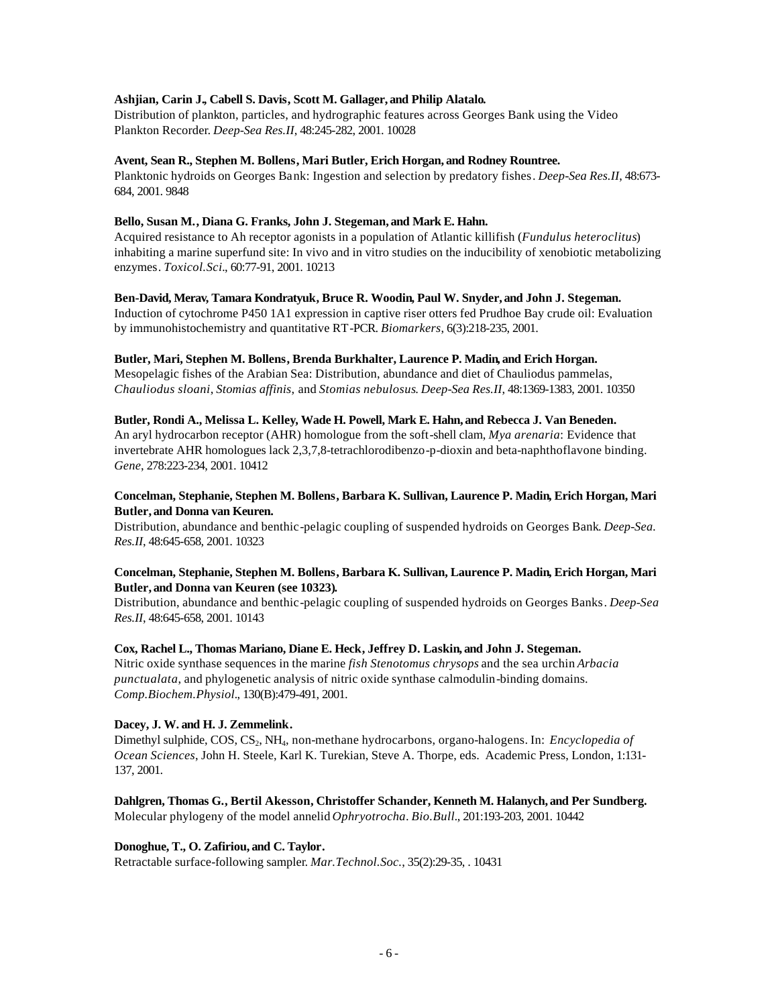#### **Ashjian, Carin J., Cabell S. Davis, Scott M. Gallager, and Philip Alatalo.**

Distribution of plankton, particles, and hydrographic features across Georges Bank using the Video Plankton Recorder. *Deep-Sea Res.II*, 48:245-282, 2001. 10028

#### **Avent, Sean R., Stephen M. Bollens, Mari Butler, Erich Horgan, and Rodney Rountree.**

Planktonic hydroids on Georges Bank: Ingestion and selection by predatory fishes. *Deep-Sea Res.II*, 48:673- 684, 2001. 9848

#### **Bello, Susan M., Diana G. Franks, John J. Stegeman, and Mark E. Hahn.**

Acquired resistance to Ah receptor agonists in a population of Atlantic killifish (*Fundulus heteroclitus*) inhabiting a marine superfund site: In vivo and in vitro studies on the inducibility of xenobiotic metabolizing enzymes. *Toxicol.Sci.*, 60:77-91, 2001. 10213

#### **Ben-David, Merav, Tamara Kondratyuk, Bruce R. Woodin, Paul W. Snyder, and John J. Stegeman.**

Induction of cytochrome P450 1A1 expression in captive riser otters fed Prudhoe Bay crude oil: Evaluation by immunohistochemistry and quantitative RT-PCR. *Biomarkers*, 6(3):218-235, 2001.

### **Butler, Mari, Stephen M. Bollens, Brenda Burkhalter, Laurence P. Madin, and Erich Horgan.**

Mesopelagic fishes of the Arabian Sea: Distribution, abundance and diet of Chauliodus pammelas, *Chauliodus sloani*, *Stomias affinis*, and *Stomias nebulosus*. *Deep-Sea Res.II*, 48:1369-1383, 2001. 10350

#### **Butler, Rondi A., Melissa L. Kelley, Wade H. Powell, Mark E. Hahn, and Rebecca J. Van Beneden.**

An aryl hydrocarbon receptor (AHR) homologue from the soft-shell clam, *Mya arenaria*: Evidence that invertebrate AHR homologues lack 2,3,7,8-tetrachlorodibenzo-p-dioxin and beta-naphthoflavone binding. *Gene*, 278:223-234, 2001. 10412

# **Concelman, Stephanie, Stephen M. Bollens, Barbara K. Sullivan, Laurence P. Madin, Erich Horgan, Mari Butler, and Donna van Keuren.**

Distribution, abundance and benthic-pelagic coupling of suspended hydroids on Georges Bank. *Deep-Sea. Res.II*, 48:645-658, 2001. 10323

### **Concelman, Stephanie, Stephen M. Bollens, Barbara K. Sullivan, Laurence P. Madin, Erich Horgan, Mari Butler, and Donna van Keuren (see 10323).**

Distribution, abundance and benthic-pelagic coupling of suspended hydroids on Georges Banks. *Deep-Sea Res.II*, 48:645-658, 2001. 10143

#### **Cox, Rachel L., Thomas Mariano, Diane E. Heck, Jeffrey D. Laskin, and John J. Stegeman.**

Nitric oxide synthase sequences in the marine *fish Stenotomus chrysops* and the sea urchin *Arbacia punctualata*, and phylogenetic analysis of nitric oxide synthase calmodulin-binding domains. *Comp.Biochem.Physiol.*, 130(B):479-491, 2001.

# **Dacey, J. W. and H. J. Zemmelink.**

Dimethyl sulphide, COS, CS<sub>2</sub>, NH<sub>4</sub>, non-methane hydrocarbons, organo-halogens. In: *Encyclopedia of Ocean Sciences*, John H. Steele, Karl K. Turekian, Steve A. Thorpe, eds. Academic Press, London, 1:131- 137, 2001.

#### **Dahlgren, Thomas G., Bertil Akesson, Christoffer Schander, Kenneth M. Halanych, and Per Sundberg.** Molecular phylogeny of the model annelid *Ophryotrocha*. *Bio.Bull.*, 201:193-203, 2001. 10442

#### **Donoghue, T., O. Zafiriou, and C. Taylor.**

Retractable surface-following sampler. *Mar.Technol.Soc.*, 35(2):29-35, . 10431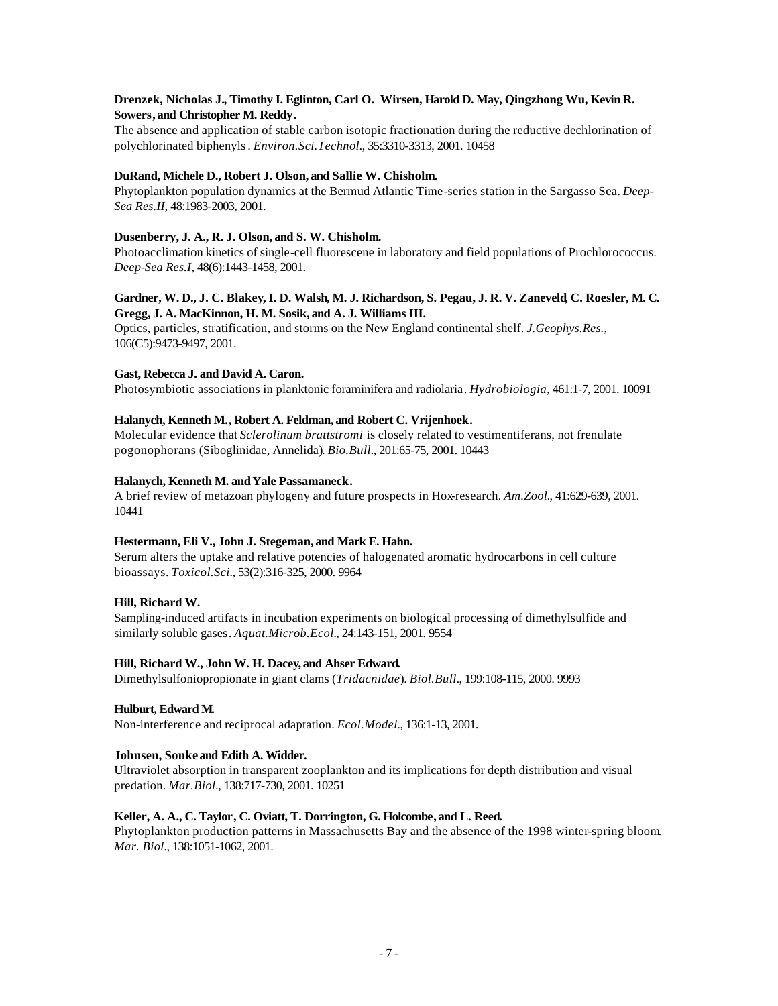# **Drenzek, Nicholas J., Timothy I. Eglinton, Carl O. Wirsen, Harold D. May, Qingzhong Wu, Kevin R. Sowers, and Christopher M. Reddy.**

The absence and application of stable carbon isotopic fractionation during the reductive dechlorination of polychlorinated biphenyls. *Environ.Sci.Technol.*, 35:3310-3313, 2001. 10458

# **DuRand, Michele D., Robert J. Olson, and Sallie W. Chisholm.**

Phytoplankton population dynamics at the Bermud Atlantic Time-series station in the Sargasso Sea. *Deep-Sea Res.II*, 48:1983-2003, 2001.

### **Dusenberry, J. A., R. J. Olson, and S. W. Chisholm.**

Photoacclimation kinetics of single-cell fluorescene in laboratory and field populations of Prochlorococcus. *Deep-Sea Res.I*, 48(6):1443-1458, 2001.

### **Gardner, W. D., J. C. Blakey, I. D. Walsh, M. J. Richardson, S. Pegau, J. R. V. Zaneveld, C. Roesler, M. C. Gregg, J. A. MacKinnon, H. M. Sosik, and A. J. Williams III.**

Optics, particles, stratification, and storms on the New England continental shelf. *J.Geophys.Res.*, 106(C5):9473-9497, 2001.

### **Gast, Rebecca J. and David A. Caron.**

Photosymbiotic associations in planktonic foraminifera and radiolaria. *Hydrobiologia*, 461:1-7, 2001. 10091

# **Halanych, Kenneth M., Robert A. Feldman, and Robert C. Vrijenhoek.**

Molecular evidence that *Sclerolinum brattstromi* is closely related to vestimentiferans, not frenulate pogonophorans (Siboglinidae, Annelida). *Bio.Bull.*, 201:65-75, 2001. 10443

### Halanych, Kenneth M. and Yale Passamaneck.

A brief review of metazoan phylogeny and future prospects in Hox-research. *Am.Zool.*, 41:629-639, 2001. 10441

#### **Hestermann, Eli V., John J. Stegeman, and Mark E. Hahn.**

Serum alters the uptake and relative potencies of halogenated aromatic hydrocarbons in cell culture bioassays. *Toxicol.Sci.*, 53(2):316-325, 2000. 9964

#### **Hill, Richard W.**

Sampling-induced artifacts in incubation experiments on biological processing of dimethylsulfide and similarly soluble gases. *Aquat.Microb.Ecol.*, 24:143-151, 2001. 9554

#### **Hill, Richard W., John W. H. Dacey, and Ahser Edward.**

Dimethylsulfoniopropionate in giant clams (*Tridacnidae*). *Biol.Bull.*, 199:108-115, 2000. 9993

#### **Hulburt, Edward M.**

Non-interference and reciprocal adaptation. *Ecol.Model.*, 136:1-13, 2001.

# **Johnsen, Sonke and Edith A. Widder.**

Ultraviolet absorption in transparent zooplankton and its implications for depth distribution and visual predation. *Mar.Biol.*, 138:717-730, 2001. 10251

#### **Keller, A. A., C. Taylor, C. Oviatt, T. Dorrington, G. Holcombe, and L. Reed.**

Phytoplankton production patterns in Massachusetts Bay and the absence of the 1998 winter-spring bloom. *Mar. Biol.*, 138:1051-1062, 2001.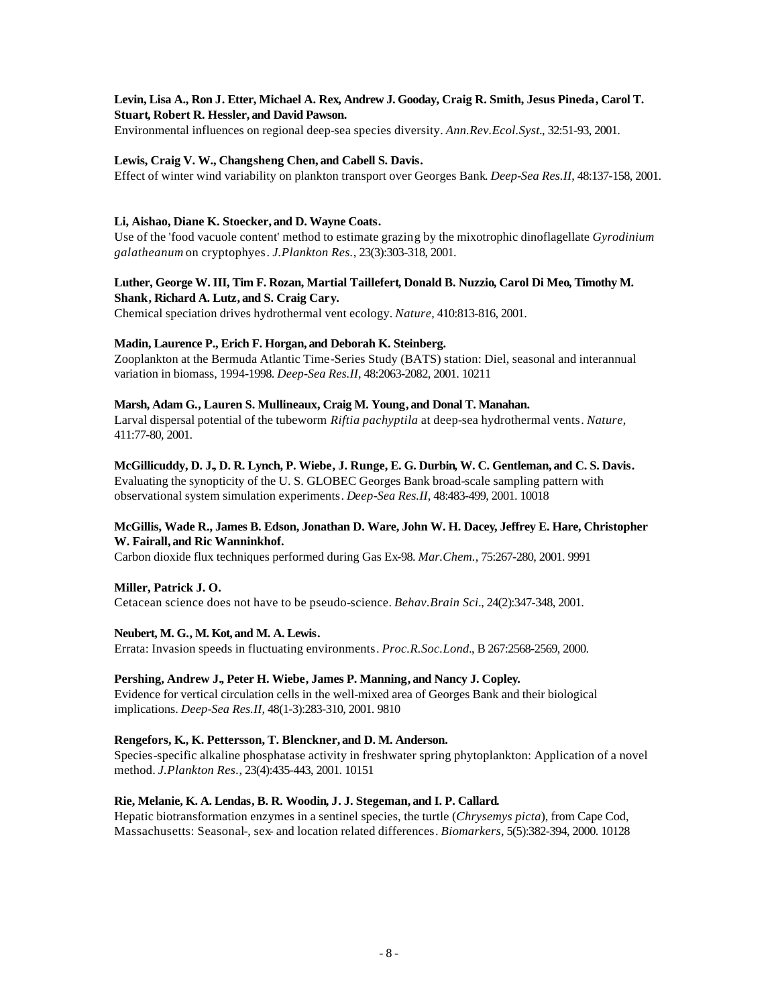# **Levin, Lisa A., Ron J. Etter, Michael A. Rex, Andrew J. Gooday, Craig R. Smith, Jesus Pineda, Carol T. Stuart, Robert R. Hessler, and David Pawson.**

Environmental influences on regional deep-sea species diversity. *Ann.Rev.Ecol.Syst.*, 32:51-93, 2001.

### **Lewis, Craig V. W., Changsheng Chen, and Cabell S. Davis.**

Effect of winter wind variability on plankton transport over Georges Bank. *Deep-Sea Res.II*, 48:137-158, 2001.

#### **Li, Aishao, Diane K. Stoecker, and D. Wayne Coats.**

Use of the 'food vacuole content' method to estimate grazing by the mixotrophic dinoflagellate *Gyrodinium galatheanum* on cryptophyes. *J.Plankton Res.*, 23(3):303-318, 2001.

### **Luther, George W. III, Tim F. Rozan, Martial Taillefert, Donald B. Nuzzio, Carol Di Meo, Timothy M. Shank, Richard A. Lutz, and S. Craig Cary.**

Chemical speciation drives hydrothermal vent ecology. *Nature*, 410:813-816, 2001.

#### **Madin, Laurence P., Erich F. Horgan, and Deborah K. Steinberg.**

Zooplankton at the Bermuda Atlantic Time-Series Study (BATS) station: Diel, seasonal and interannual variation in biomass, 1994-1998. *Deep-Sea Res.II*, 48:2063-2082, 2001. 10211

# **Marsh, Adam G., Lauren S. Mullineaux, Craig M. Young, and Donal T. Manahan.**

Larval dispersal potential of the tubeworm *Riftia pachyptila* at deep-sea hydrothermal vents. *Nature*, 411:77-80, 2001.

#### **McGillicuddy, D. J., D. R. Lynch, P. Wiebe, J. Runge, E. G. Durbin, W. C. Gentleman, and C. S. Davis.**

Evaluating the synopticity of the U. S. GLOBEC Georges Bank broad-scale sampling pattern with observational system simulation experiments. *Deep-Sea Res.II*, 48:483-499, 2001. 10018

### **McGillis, Wade R., James B. Edson, Jonathan D. Ware, John W. H. Dacey, Jeffrey E. Hare, Christopher W. Fairall, and Ric Wanninkhof.**

Carbon dioxide flux techniques performed during Gas Ex-98. *Mar.Chem.*, 75:267-280, 2001. 9991

#### **Miller, Patrick J. O.** Cetacean science does not have to be pseudo-science. *Behav.Brain Sci.*, 24(2):347-348, 2001.

#### **Neubert, M. G., M. Kot, and M. A. Lewis.**

Errata: Invasion speeds in fluctuating environments. *Proc.R.Soc.Lond.*, B 267:2568-2569, 2000.

#### **Pershing, Andrew J., Peter H. Wiebe, James P. Manning, and Nancy J. Copley.**

Evidence for vertical circulation cells in the well-mixed area of Georges Bank and their biological implications. *Deep-Sea Res.II*, 48(1-3):283-310, 2001. 9810

#### **Rengefors, K., K. Pettersson, T. Blenckner, and D. M. Anderson.**

Species-specific alkaline phosphatase activity in freshwater spring phytoplankton: Application of a novel method. *J.Plankton Res.*, 23(4):435-443, 2001. 10151

#### **Rie, Melanie, K. A. Lendas, B. R. Woodin, J. J. Stegeman, and I. P. Callard.**

Hepatic biotransformation enzymes in a sentinel species, the turtle (*Chrysemys picta*), from Cape Cod, Massachusetts: Seasonal-, sex- and location related differences. *Biomarkers*, 5(5):382-394, 2000. 10128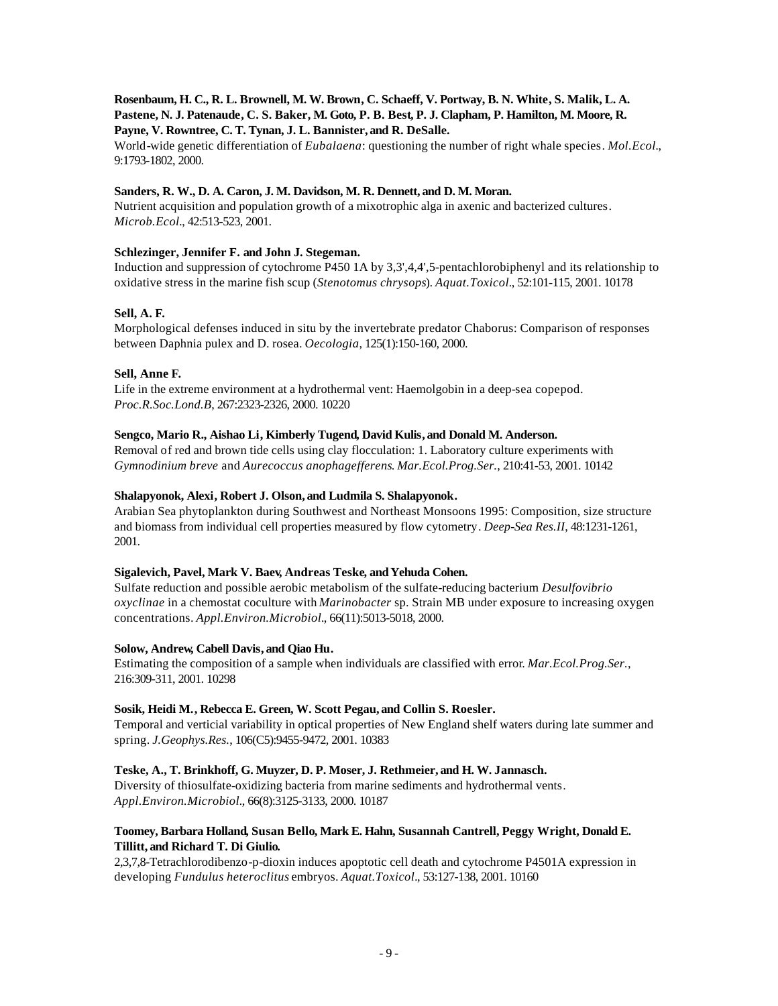### **Rosenbaum, H. C., R. L. Brownell, M. W. Brown, C. Schaeff, V. Portway, B. N. White, S. Malik, L. A. Pastene, N. J. Patenaude, C. S. Baker, M. Goto, P. B. Best, P. J. Clapham, P. Hamilton, M. Moore, R. Payne, V. Rowntree, C. T. Tynan, J. L. Bannister, and R. DeSalle.**

World-wide genetic differentiation of *Eubalaena*: questioning the number of right whale species. *Mol.Ecol.*, 9:1793-1802, 2000.

# **Sanders, R. W., D. A. Caron, J. M. Davidson, M. R. Dennett, and D. M. Moran.**

Nutrient acquisition and population growth of a mixotrophic alga in axenic and bacterized cultures. *Microb.Ecol.*, 42:513-523, 2001.

# **Schlezinger, Jennifer F. and John J. Stegeman.**

Induction and suppression of cytochrome P450 1A by 3,3',4,4',5-pentachlorobiphenyl and its relationship to oxidative stress in the marine fish scup (*Stenotomus chrysops*). *Aquat.Toxicol.*, 52:101-115, 2001. 10178

# **Sell, A. F.**

Morphological defenses induced in situ by the invertebrate predator Chaborus: Comparison of responses between Daphnia pulex and D. rosea. *Oecologia*, 125(1):150-160, 2000.

### **Sell, Anne F.**

Life in the extreme environment at a hydrothermal vent: Haemolgobin in a deep-sea copepod. *Proc.R.Soc.Lond.B*, 267:2323-2326, 2000. 10220

#### **Sengco, Mario R., Aishao Li, Kimberly Tugend, David Kulis, and Donald M. Anderson.**

Removal of red and brown tide cells using clay flocculation: 1. Laboratory culture experiments with *Gymnodinium breve* and *Aurecoccus anophagefferens*. *Mar.Ecol.Prog.Ser.*, 210:41-53, 2001. 10142

#### **Shalapyonok, Alexi, Robert J. Olson, and Ludmila S. Shalapyonok.**

Arabian Sea phytoplankton during Southwest and Northeast Monsoons 1995: Composition, size structure and biomass from individual cell properties measured by flow cytometry. *Deep-Sea Res.II*, 48:1231-1261, 2001.

#### **Sigalevich, Pavel, Mark V. Baev, Andreas Teske, and Yehuda Cohen.**

Sulfate reduction and possible aerobic metabolism of the sulfate-reducing bacterium *Desulfovibrio oxyclinae* in a chemostat coculture with *Marinobacter* sp. Strain MB under exposure to increasing oxygen concentrations. *Appl.Environ.Microbiol.*, 66(11):5013-5018, 2000.

#### **Solow, Andrew, Cabell Davis, and Qiao Hu.**

Estimating the composition of a sample when individuals are classified with error. *Mar.Ecol.Prog.Ser.*, 216:309-311, 2001. 10298

#### **Sosik, Heidi M., Rebecca E. Green, W. Scott Pegau, and Collin S. Roesler.**

Temporal and verticial variability in optical properties of New England shelf waters during late summer and spring. *J.Geophys.Res.*, 106(C5):9455-9472, 2001. 10383

#### **Teske, A., T. Brinkhoff, G. Muyzer, D. P. Moser, J. Rethmeier, and H. W. Jannasch.**

Diversity of thiosulfate-oxidizing bacteria from marine sediments and hydrothermal vents. *Appl.Environ.Microbiol.*, 66(8):3125-3133, 2000. 10187

# **Toomey, Barbara Holland, Susan Bello, Mark E. Hahn, Susannah Cantrell, Peggy Wright, Donald E. Tillitt, and Richard T. Di Giulio.**

2,3,7,8-Tetrachlorodibenzo-p-dioxin induces apoptotic cell death and cytochrome P4501A expression in developing *Fundulus heteroclitus* embryos. *Aquat.Toxicol.*, 53:127-138, 2001. 10160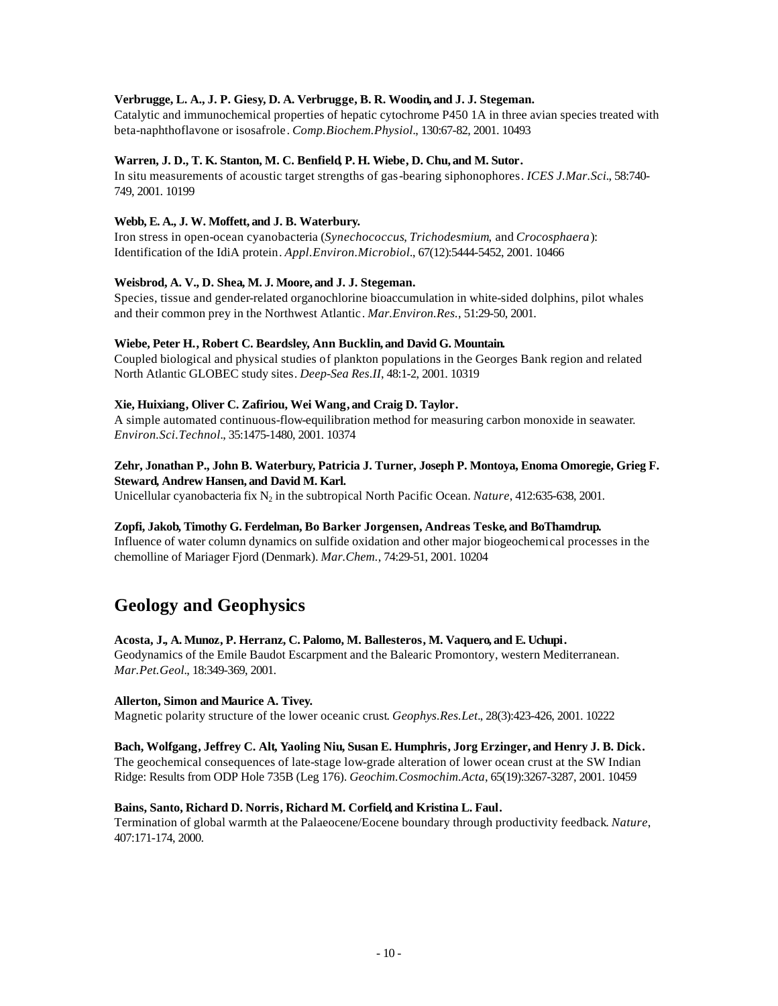# **Verbrugge, L. A., J. P. Giesy, D. A. Verbrugge, B. R. Woodin, and J. J. Stegeman.**

Catalytic and immunochemical properties of hepatic cytochrome P450 1A in three avian species treated with beta-naphthoflavone or isosafrole. *Comp.Biochem.Physiol.*, 130:67-82, 2001. 10493

### **Warren, J. D., T. K. Stanton, M. C. Benfield, P. H. Wiebe, D. Chu, and M. Sutor.**

In situ measurements of acoustic target strengths of gas-bearing siphonophores. *ICES J.Mar.Sci.*, 58:740- 749, 2001. 10199

### **Webb, E. A., J. W. Moffett, and J. B. Waterbury.**

Iron stress in open-ocean cyanobacteria (*Synechococcus*, *Trichodesmium*, and *Crocosphaera*): Identification of the IdiA protein. *Appl.Environ.Microbiol.*, 67(12):5444-5452, 2001. 10466

### **Weisbrod, A. V., D. Shea, M. J. Moore, and J. J. Stegeman.**

Species, tissue and gender-related organochlorine bioaccumulation in white-sided dolphins, pilot whales and their common prey in the Northwest Atlantic. *Mar.Environ.Res.*, 51:29-50, 2001.

### **Wiebe, Peter H., Robert C. Beardsley, Ann Bucklin, and David G. Mountain.**

Coupled biological and physical studies of plankton populations in the Georges Bank region and related North Atlantic GLOBEC study sites. *Deep-Sea Res.II*, 48:1-2, 2001. 10319

### **Xie, Huixiang, Oliver C. Zafiriou, Wei Wang, and Craig D. Taylor.**

A simple automated continuous-flow-equilibration method for measuring carbon monoxide in seawater. *Environ.Sci.Technol.*, 35:1475-1480, 2001. 10374

#### **Zehr, Jonathan P., John B. Waterbury, Patricia J. Turner, Joseph P. Montoya, Enoma Omoregie, Grieg F. Steward, Andrew Hansen, and David M. Karl.**

Unicellular cyanobacteria fix N<sub>2</sub> in the subtropical North Pacific Ocean. *Nature*, 412:635-638, 2001.

#### **Zopfi, Jakob, Timothy G. Ferdelman, Bo Barker Jorgensen, Andreas Teske, and BoThamdrup.**

Influence of water column dynamics on sulfide oxidation and other major biogeochemical processes in the chemolline of Mariager Fjord (Denmark). *Mar.Chem.*, 74:29-51, 2001. 10204

# **Geology and Geophysics**

#### **Acosta, J., A. Munoz, P. Herranz, C. Palomo, M. Ballesteros, M. Vaquero, and E. Uchupi.**

Geodynamics of the Emile Baudot Escarpment and the Balearic Promontory, western Mediterranean. *Mar.Pet.Geol.*, 18:349-369, 2001.

#### **Allerton, Simon and Maurice A. Tivey.**

Magnetic polarity structure of the lower oceanic crust. *Geophys.Res.Let.*, 28(3):423-426, 2001. 10222

### **Bach, Wolfgang, Jeffrey C. Alt, Yaoling Niu, Susan E. Humphris, Jorg Erzinger, and Henry J. B. Dick.**

The geochemical consequences of late-stage low-grade alteration of lower ocean crust at the SW Indian Ridge: Results from ODP Hole 735B (Leg 176). *Geochim.Cosmochim.Acta*, 65(19):3267-3287, 2001. 10459

#### **Bains, Santo, Richard D. Norris, Richard M. Corfield, and Kristina L. Faul.**

Termination of global warmth at the Palaeocene/Eocene boundary through productivity feedback. *Nature*, 407:171-174, 2000.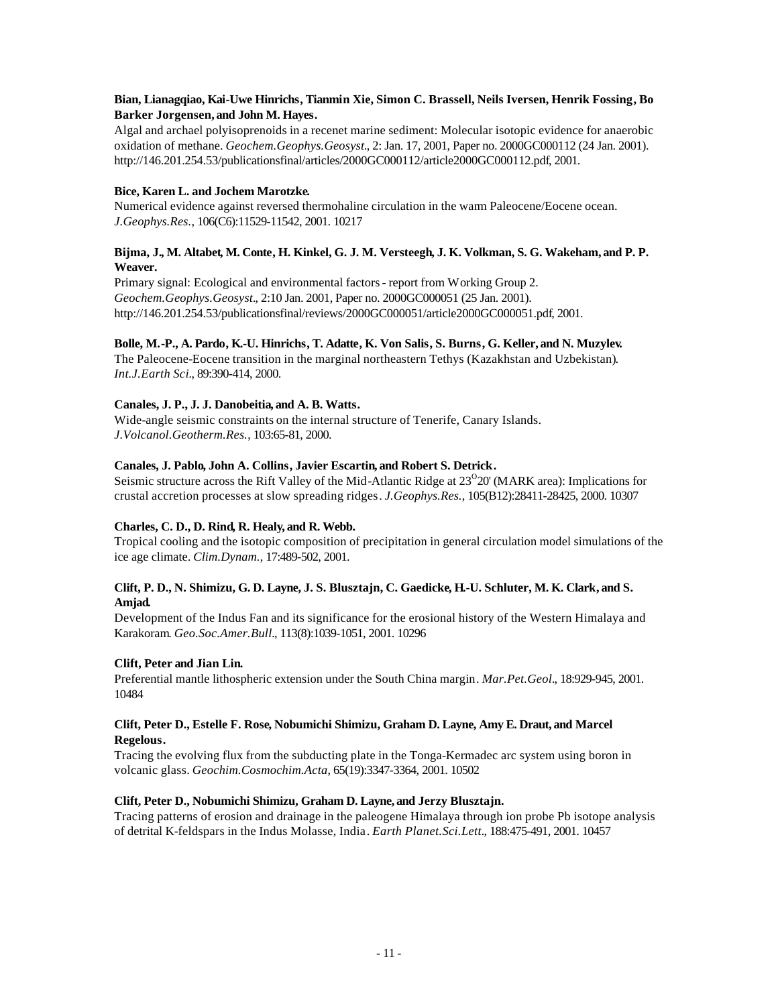# **Bian, Lianagqiao, Kai-Uwe Hinrichs, Tianmin Xie, Simon C. Brassell, Neils Iversen, Henrik Fossing, Bo Barker Jorgensen, and John M. Hayes.**

Algal and archael polyisoprenoids in a recenet marine sediment: Molecular isotopic evidence for anaerobic oxidation of methane. *Geochem.Geophys.Geosyst.*, 2: Jan. 17, 2001, Paper no. 2000GC000112 (24 Jan. 2001). http://146.201.254.53/publicationsfinal/articles/2000GC000112/article2000GC000112.pdf, 2001.

# **Bice, Karen L. and Jochem Marotzke.**

Numerical evidence against reversed thermohaline circulation in the warm Paleocene/Eocene ocean. *J.Geophys.Res.*, 106(C6):11529-11542, 2001. 10217

# **Bijma, J., M. Altabet, M. Conte, H. Kinkel, G. J. M. Versteegh, J. K. Volkman, S. G. Wakeham, and P. P. Weaver.**

Primary signal: Ecological and environmental factors - report from Working Group 2. *Geochem.Geophys.Geosyst.*, 2:10 Jan. 2001, Paper no. 2000GC000051 (25 Jan. 2001). http://146.201.254.53/publicationsfinal/reviews/2000GC000051/article2000GC000051.pdf, 2001.

# **Bolle, M.-P., A. Pardo, K.-U. Hinrichs, T. Adatte, K. Von Salis, S. Burns, G. Keller, and N. Muzylev.**

The Paleocene-Eocene transition in the marginal northeastern Tethys (Kazakhstan and Uzbekistan). *Int.J.Earth Sci.*, 89:390-414, 2000.

# **Canales, J. P., J. J. Danobeitia, and A. B. Watts.**

Wide-angle seismic constraints on the internal structure of Tenerife, Canary Islands. *J.Volcanol.Geotherm.Res.*, 103:65-81, 2000.

# **Canales, J. Pablo, John A. Collins, Javier Escartin, and Robert S. Detrick.**

Seismic structure across the Rift Valley of the Mid-Atlantic Ridge at  $23^{\circ}20'$  (MARK area): Implications for crustal accretion processes at slow spreading ridges. *J.Geophys.Res.*, 105(B12):28411-28425, 2000. 10307

# **Charles, C. D., D. Rind, R. Healy, and R. Webb.**

Tropical cooling and the isotopic composition of precipitation in general circulation model simulations of the ice age climate. *Clim.Dynam.*, 17:489-502, 2001.

# **Clift, P. D., N. Shimizu, G. D. Layne, J. S. Blusztajn, C. Gaedicke, H.-U. Schluter, M. K. Clark, and S. Amjad.**

Development of the Indus Fan and its significance for the erosional history of the Western Himalaya and Karakoram. *Geo.Soc.Amer.Bull.*, 113(8):1039-1051, 2001. 10296

# **Clift, Peter and Jian Lin.**

Preferential mantle lithospheric extension under the South China margin. *Mar.Pet.Geol.*, 18:929-945, 2001. 10484

### **Clift, Peter D., Estelle F. Rose, Nobumichi Shimizu, Graham D. Layne, Amy E. Draut, and Marcel Regelous.**

Tracing the evolving flux from the subducting plate in the Tonga-Kermadec arc system using boron in volcanic glass. *Geochim.Cosmochim.Acta*, 65(19):3347-3364, 2001. 10502

# **Clift, Peter D., Nobumichi Shimizu, Graham D. Layne, and Jerzy Blusztajn.**

Tracing patterns of erosion and drainage in the paleogene Himalaya through ion probe Pb isotope analysis of detrital K-feldspars in the Indus Molasse, India. *Earth Planet.Sci.Lett.*, 188:475-491, 2001. 10457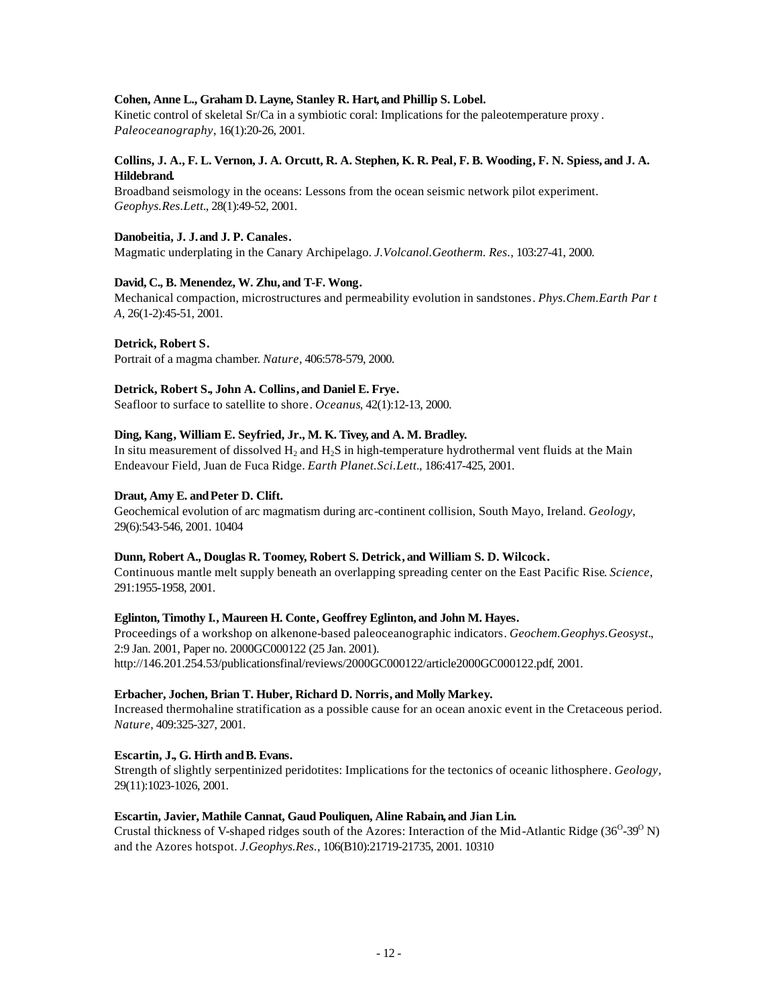# **Cohen, Anne L., Graham D. Layne, Stanley R. Hart, and Phillip S. Lobel.**

Kinetic control of skeletal Sr/Ca in a symbiotic coral: Implications for the paleotemperature proxy. *Paleoceanography*, 16(1):20-26, 2001.

#### **Collins, J. A., F. L. Vernon, J. A. Orcutt, R. A. Stephen, K. R. Peal, F. B. Wooding, F. N. Spiess, and J. A. Hildebrand.**

Broadband seismology in the oceans: Lessons from the ocean seismic network pilot experiment. *Geophys.Res.Lett.*, 28(1):49-52, 2001.

# **Danobeitia, J. J. and J. P. Canales.**

Magmatic underplating in the Canary Archipelago. *J.Volcanol.Geotherm. Res.*, 103:27-41, 2000.

### **David, C., B. Menendez, W. Zhu, and T-F. Wong.**

Mechanical compaction, microstructures and permeability evolution in sandstones. *Phys.Chem.Earth Par t A*, 26(1-2):45-51, 2001.

### **Detrick, Robert S.**

Portrait of a magma chamber. *Nature*, 406:578-579, 2000.

#### **Detrick, Robert S., John A. Collins, and Daniel E. Frye.**

Seafloor to surface to satellite to shore. *Oceanus*, 42(1):12-13, 2000.

### **Ding, Kang, William E. Seyfried, Jr., M. K. Tivey, and A. M. Bradley.**

In situ measurement of dissolved  $H_2$  and  $H_2S$  in high-temperature hydrothermal vent fluids at the Main Endeavour Field, Juan de Fuca Ridge. *Earth Planet.Sci.Lett.*, 186:417-425, 2001.

### Draut, Amy E. and Peter D. Clift.

Geochemical evolution of arc magmatism during arc-continent collision, South Mayo, Ireland. *Geology*, 29(6):543-546, 2001. 10404

#### **Dunn, Robert A., Douglas R. Toomey, Robert S. Detrick, and William S. D. Wilcock.**

Continuous mantle melt supply beneath an overlapping spreading center on the East Pacific Rise. *Science*, 291:1955-1958, 2001.

#### **Eglinton, Timothy I., Maureen H. Conte, Geoffrey Eglinton, and John M. Hayes.**

Proceedings of a workshop on alkenone-based paleoceanographic indicators. *Geochem.Geophys.Geosyst.*, 2:9 Jan. 2001, Paper no. 2000GC000122 (25 Jan. 2001). http://146.201.254.53/publicationsfinal/reviews/2000GC000122/article2000GC000122.pdf, 2001.

#### **Erbacher, Jochen, Brian T. Huber, Richard D. Norris, and Molly Markey.**

Increased thermohaline stratification as a possible cause for an ocean anoxic event in the Cretaceous period. *Nature*, 409:325-327, 2001.

#### Escartin, J., G. Hirth and B. Evans.

Strength of slightly serpentinized peridotites: Implications for the tectonics of oceanic lithosphere. *Geology*, 29(11):1023-1026, 2001.

#### **Escartin, Javier, Mathile Cannat, Gaud Pouliquen, Aline Rabain, and Jian Lin.**

Crustal thickness of V-shaped ridges south of the Azores: Interaction of the Mid-Atlantic Ridge  $(36^{\circ}-39^{\circ}N)$ and the Azores hotspot. *J.Geophys.Res.*, 106(B10):21719-21735, 2001. 10310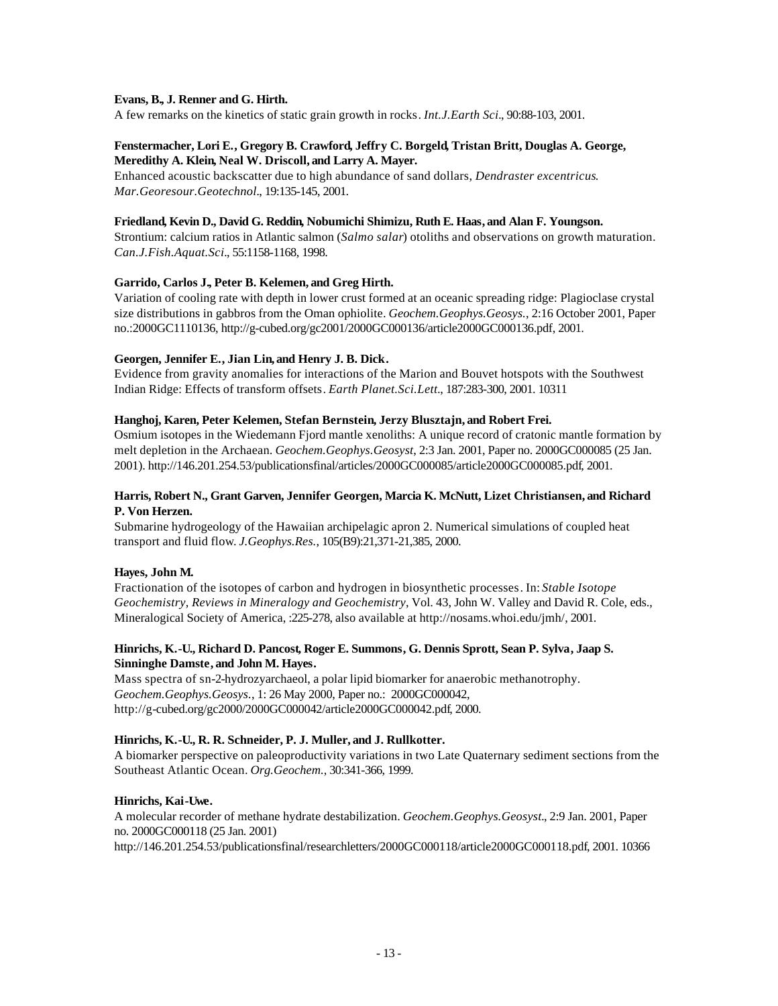#### **Evans, B., J. Renner and G. Hirth.**

A few remarks on the kinetics of static grain growth in rocks. *Int.J.Earth Sci.*, 90:88-103, 2001.

#### **Fenstermacher, Lori E., Gregory B. Crawford, Jeffry C. Borgeld, Tristan Britt, Douglas A. George, Meredithy A. Klein, Neal W. Driscoll, and Larry A. Mayer.**

Enhanced acoustic backscatter due to high abundance of sand dollars, *Dendraster excentricus*. *Mar.Georesour.Geotechnol.*, 19:135-145, 2001.

#### **Friedland, Kevin D., David G. Reddin, Nobumichi Shimizu, Ruth E. Haas, and Alan F. Youngson.**

Strontium: calcium ratios in Atlantic salmon (*Salmo salar*) otoliths and observations on growth maturation. *Can.J.Fish.Aquat.Sci.*, 55:1158-1168, 1998.

### **Garrido, Carlos J., Peter B. Kelemen, and Greg Hirth.**

Variation of cooling rate with depth in lower crust formed at an oceanic spreading ridge: Plagioclase crystal size distributions in gabbros from the Oman ophiolite. *Geochem.Geophys.Geosys.*, 2:16 October 2001, Paper no.:2000GC1110136, http://g-cubed.org/gc2001/2000GC000136/article2000GC000136.pdf, 2001.

### **Georgen, Jennifer E., Jian Lin, and Henry J. B. Dick.**

Evidence from gravity anomalies for interactions of the Marion and Bouvet hotspots with the Southwest Indian Ridge: Effects of transform offsets. *Earth Planet.Sci.Lett.*, 187:283-300, 2001. 10311

# **Hanghoj, Karen, Peter Kelemen, Stefan Bernstein, Jerzy Blusztajn, and Robert Frei.**

Osmium isotopes in the Wiedemann Fjord mantle xenoliths: A unique record of cratonic mantle formation by melt depletion in the Archaean. *Geochem.Geophys.Geosyst*, 2:3 Jan. 2001, Paper no. 2000GC000085 (25 Jan. 2001). http://146.201.254.53/publicationsfinal/articles/2000GC000085/article2000GC000085.pdf, 2001.

#### **Harris, Robert N., Grant Garven, Jennifer Georgen, Marcia K. McNutt, Lizet Christiansen, and Richard P. Von Herzen.**

Submarine hydrogeology of the Hawaiian archipelagic apron 2. Numerical simulations of coupled heat transport and fluid flow. *J.Geophys.Res.*, 105(B9):21,371-21,385, 2000.

# **Hayes, John M.**

Fractionation of the isotopes of carbon and hydrogen in biosynthetic processes. In: *Stable Isotope Geochemistry, Reviews in Mineralogy and Geochemistry*, Vol. 43, John W. Valley and David R. Cole, eds., Mineralogical Society of America, :225-278, also available at http://nosams.whoi.edu/jmh/, 2001.

# **Hinrichs, K.-U., Richard D. Pancost, Roger E. Summons, G. Dennis Sprott, Sean P. Sylva, Jaap S. Sinninghe Damste, and John M. Hayes.**

Mass spectra of sn-2-hydrozyarchaeol, a polar lipid biomarker for anaerobic methanotrophy. *Geochem.Geophys.Geosys.*, 1: 26 May 2000, Paper no.: 2000GC000042, http://g-cubed.org/gc2000/2000GC000042/article2000GC000042.pdf, 2000.

# **Hinrichs, K.-U., R. R. Schneider, P. J. Muller, and J. Rullkotter.**

A biomarker perspective on paleoproductivity variations in two Late Quaternary sediment sections from the Southeast Atlantic Ocean. *Org.Geochem.*, 30:341-366, 1999.

#### **Hinrichs, Kai-Uwe.**

A molecular recorder of methane hydrate destabilization. *Geochem.Geophys.Geosyst.*, 2:9 Jan. 2001, Paper no. 2000GC000118 (25 Jan. 2001) http://146.201.254.53/publicationsfinal/researchletters/2000GC000118/article2000GC000118.pdf, 2001. 10366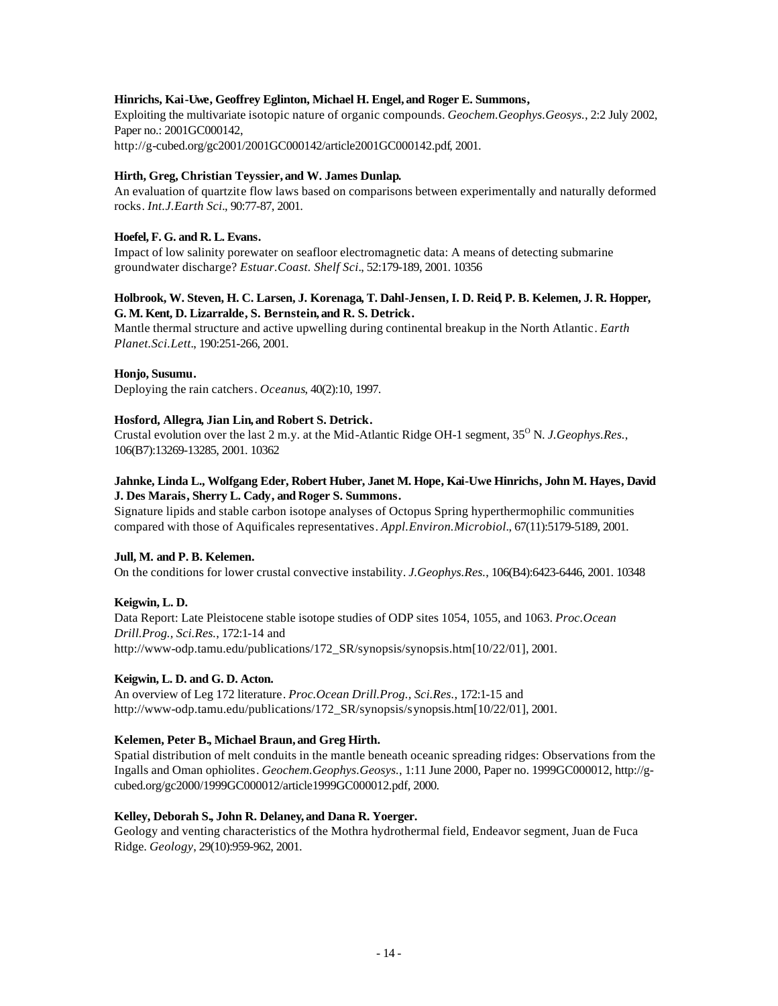#### **Hinrichs, Kai-Uwe, Geoffrey Eglinton, Michael H. Engel, and Roger E. Summons,**

Exploiting the multivariate isotopic nature of organic compounds. *Geochem.Geophys.Geosys.*, 2:2 July 2002, Paper no.: 2001GC000142, http://g-cubed.org/gc2001/2001GC000142/article2001GC000142.pdf, 2001.

### **Hirth, Greg, Christian Teyssier, and W. James Dunlap.**

An evaluation of quartzite flow laws based on comparisons between experimentally and naturally deformed rocks. *Int.J.Earth Sci.*, 90:77-87, 2001.

### **Hoefel, F. G. and R. L. Evans.**

Impact of low salinity porewater on seafloor electromagnetic data: A means of detecting submarine groundwater discharge? *Estuar.Coast. Shelf Sci.*, 52:179-189, 2001. 10356

### **Holbrook, W. Steven, H. C. Larsen, J. Korenaga, T. Dahl-Jensen, I. D. Reid, P. B. Kelemen, J. R. Hopper, G. M. Kent, D. Lizarralde, S. Bernstein, and R. S. Detrick.**

Mantle thermal structure and active upwelling during continental breakup in the North Atlantic. *Earth Planet.Sci.Lett.*, 190:251-266, 2001.

### **Honjo, Susumu.**

Deploying the rain catchers. *Oceanus*, 40(2):10, 1997.

#### **Hosford, Allegra, Jian Lin, and Robert S. Detrick.**

Crustal evolution over the last 2 m.y. at the Mid-Atlantic Ridge OH-1 segment, 35<sup>o</sup> N. *J.Geophys.Res.*, 106(B7):13269-13285, 2001. 10362

### **Jahnke, Linda L., Wolfgang Eder, Robert Huber, Janet M. Hope, Kai-Uwe Hinrichs, John M. Hayes, David J. Des Marais, Sherry L. Cady, and Roger S. Summons.**

Signature lipids and stable carbon isotope analyses of Octopus Spring hyperthermophilic communities compared with those of Aquificales representatives. *Appl.Environ.Microbiol.*, 67(11):5179-5189, 2001.

#### **Jull, M. and P. B. Kelemen.**

On the conditions for lower crustal convective instability. *J.Geophys.Res.*, 106(B4):6423-6446, 2001. 10348

# **Keigwin, L. D.**

Data Report: Late Pleistocene stable isotope studies of ODP sites 1054, 1055, and 1063. *Proc.Ocean Drill.Prog., Sci.Res.*, 172:1-14 and http://www-odp.tamu.edu/publications/172\_SR/synopsis/synopsis.htm[10/22/01], 2001.

#### **Keigwin, L. D. and G. D. Acton.**

An overview of Leg 172 literature. *Proc.Ocean Drill.Prog., Sci.Res.*, 172:1-15 and http://www-odp.tamu.edu/publications/172\_SR/synopsis/synopsis.htm[10/22/01], 2001.

#### **Kelemen, Peter B., Michael Braun, and Greg Hirth.**

Spatial distribution of melt conduits in the mantle beneath oceanic spreading ridges: Observations from the Ingalls and Oman ophiolites. *Geochem.Geophys.Geosys.*, 1:11 June 2000, Paper no. 1999GC000012, http://gcubed.org/gc2000/1999GC000012/article1999GC000012.pdf, 2000.

#### **Kelley, Deborah S., John R. Delaney, and Dana R. Yoerger.**

Geology and venting characteristics of the Mothra hydrothermal field, Endeavor segment, Juan de Fuca Ridge. *Geology*, 29(10):959-962, 2001.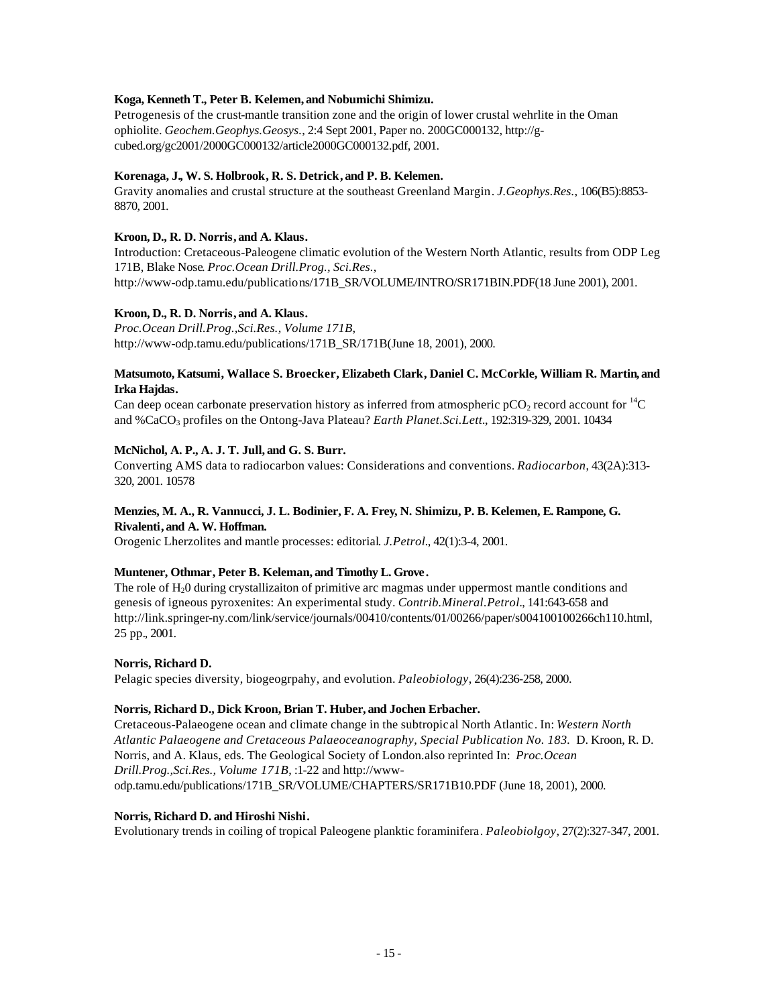# **Koga, Kenneth T., Peter B. Kelemen, and Nobumichi Shimizu.**

Petrogenesis of the crust-mantle transition zone and the origin of lower crustal wehrlite in the Oman ophiolite. *Geochem.Geophys.Geosys.*, 2:4 Sept 2001, Paper no. 200GC000132, http://gcubed.org/gc2001/2000GC000132/article2000GC000132.pdf, 2001.

### **Korenaga, J., W. S. Holbrook, R. S. Detrick, and P. B. Kelemen.**

Gravity anomalies and crustal structure at the southeast Greenland Margin. *J.Geophys.Res.*, 106(B5):8853- 8870, 2001.

# **Kroon, D., R. D. Norris, and A. Klaus.**

Introduction: Cretaceous-Paleogene climatic evolution of the Western North Atlantic, results from ODP Leg 171B, Blake Nose. *Proc.Ocean Drill.Prog., Sci.Res.*, http://www-odp.tamu.edu/publications/171B\_SR/VOLUME/INTRO/SR171BIN.PDF(18 June 2001), 2001.

### **Kroon, D., R. D. Norris, and A. Klaus.**

*Proc.Ocean Drill.Prog.,Sci.Res., Volume 171B*, http://www-odp.tamu.edu/publications/171B\_SR/171B(June 18, 2001), 2000.

### **Matsumoto, Katsumi, Wallace S. Broecker, Elizabeth Clark, Daniel C. McCorkle, William R. Martin, and Irka Hajdas.**

Can deep ocean carbonate preservation history as inferred from atmospheric  $pCO<sub>2</sub>$  record account for  $^{14}C$ and %CaCO3 profiles on the Ontong-Java Plateau? *Earth Planet.Sci.Lett.*, 192:319-329, 2001. 10434

### **McNichol, A. P., A. J. T. Jull, and G. S. Burr.**

Converting AMS data to radiocarbon values: Considerations and conventions. *Radiocarbon*, 43(2A):313- 320, 2001. 10578

### **Menzies, M. A., R. Vannucci, J. L. Bodinier, F. A. Frey, N. Shimizu, P. B. Kelemen, E. Rampone, G. Rivalenti, and A. W. Hoffman.**

Orogenic Lherzolites and mantle processes: editorial. *J.Petrol.*, 42(1):3-4, 2001.

#### **Muntener, Othmar, Peter B. Keleman, and Timothy L. Grove.**

The role of  $H<sub>2</sub>0$  during crystallizaiton of primitive arc magmas under uppermost mantle conditions and genesis of igneous pyroxenites: An experimental study. *Contrib.Mineral.Petrol.*, 141:643-658 and http://link.springer-ny.com/link/service/journals/00410/contents/01/00266/paper/s004100100266ch110.html, 25 pp., 2001.

#### **Norris, Richard D.**

Pelagic species diversity, biogeogrpahy, and evolution. *Paleobiology*, 26(4):236-258, 2000.

#### **Norris, Richard D., Dick Kroon, Brian T. Huber, and Jochen Erbacher.**

Cretaceous-Palaeogene ocean and climate change in the subtropical North Atlantic. In: *Western North Atlantic Palaeogene and Cretaceous Palaeoceanography, Special Publication No. 183.* D. Kroon, R. D. Norris, and A. Klaus, eds. The Geological Society of London.also reprinted In: *Proc.Ocean Drill.Prog.,Sci.Res., Volume 171B*, :1-22 and http://wwwodp.tamu.edu/publications/171B\_SR/VOLUME/CHAPTERS/SR171B10.PDF (June 18, 2001), 2000.

#### **Norris, Richard D. and Hiroshi Nishi.**

Evolutionary trends in coiling of tropical Paleogene planktic foraminifera. *Paleobiolgoy*, 27(2):327-347, 2001.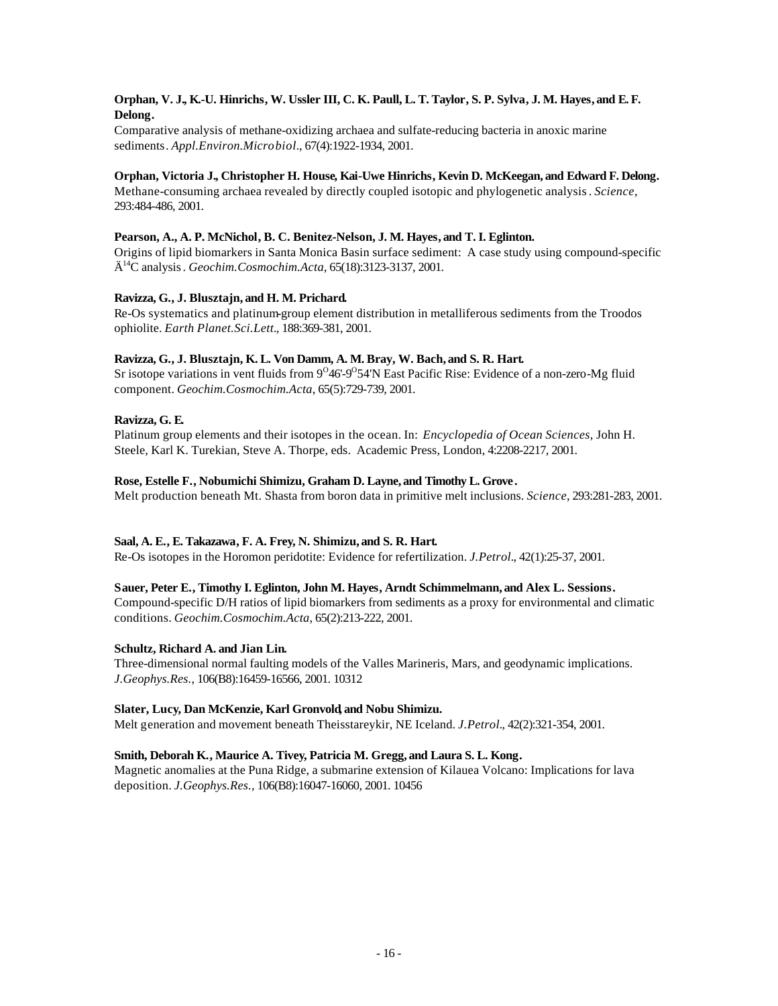# **Orphan, V. J., K.-U. Hinrichs, W. Ussler III, C. K. Paull, L. T. Taylor, S. P. Sylva, J. M. Hayes, and E. F. Delong.**

Comparative analysis of methane-oxidizing archaea and sulfate-reducing bacteria in anoxic marine sediments. *Appl.Environ.Microbiol.*, 67(4):1922-1934, 2001.

# **Orphan, Victoria J., Christopher H. House, Kai-Uwe Hinrichs, Kevin D. McKeegan, and Edward F. Delong.**

Methane-consuming archaea revealed by directly coupled isotopic and phylogenetic analysis. *Science*, 293:484-486, 2001.

# **Pearson, A., A. P. McNichol, B. C. Benitez-Nelson, J. M. Hayes, and T. I. Eglinton.**

Origins of lipid biomarkers in Santa Monica Basin surface sediment: A case study using compound-specific Ä <sup>14</sup>C analysis. *Geochim.Cosmochim.Acta*, 65(18):3123-3137, 2001.

# **Ravizza, G., J. Blusztajn, and H. M. Prichard.**

Re-Os systematics and platinum-group element distribution in metalliferous sediments from the Troodos ophiolite. *Earth Planet.Sci.Lett.*, 188:369-381, 2001.

# **Ravizza, G., J. Blusztajn, K. L. Von Damm, A. M. Bray, W. Bach, and S. R. Hart.**

Sr isotope variations in vent fluids from 9<sup>0</sup>46'-9<sup>0</sup>54'N East Pacific Rise: Evidence of a non-zero-Mg fluid component. *Geochim.Cosmochim.Acta*, 65(5):729-739, 2001.

# **Ravizza, G. E.**

Platinum group elements and their isotopes in the ocean. In: *Encyclopedia of Ocean Sciences,* John H. Steele, Karl K. Turekian, Steve A. Thorpe, eds. Academic Press, London, 4:2208-2217, 2001.

# **Rose, Estelle F., Nobumichi Shimizu, Graham D. Layne, and Timothy L. Grove.**

Melt production beneath Mt. Shasta from boron data in primitive melt inclusions. *Science*, 293:281-283, 2001.

# **Saal, A. E., E. Takazawa, F. A. Frey, N. Shimizu, and S. R. Hart.**

Re-Os isotopes in the Horomon peridotite: Evidence for refertilization. *J.Petrol.*, 42(1):25-37, 2001.

# **Sauer, Peter E., Timothy I. Eglinton, John M. Hayes, Arndt Schimmelmann, and Alex L. Sessions.**

Compound-specific D/H ratios of lipid biomarkers from sediments as a proxy for environmental and climatic conditions. *Geochim.Cosmochim.Acta*, 65(2):213-222, 2001.

# **Schultz, Richard A. and Jian Lin.**

Three-dimensional normal faulting models of the Valles Marineris, Mars, and geodynamic implications. *J.Geophys.Res.*, 106(B8):16459-16566, 2001. 10312

# **Slater, Lucy, Dan McKenzie, Karl Gronvold, and Nobu Shimizu.**

Melt generation and movement beneath Theisstareykir, NE Iceland. *J.Petrol.*, 42(2):321-354, 2001.

# **Smith, Deborah K., Maurice A. Tivey, Patricia M. Gregg, and Laura S. L. Kong.**

Magnetic anomalies at the Puna Ridge, a submarine extension of Kilauea Volcano: Implications for lava deposition. *J.Geophys.Res.*, 106(B8):16047-16060, 2001. 10456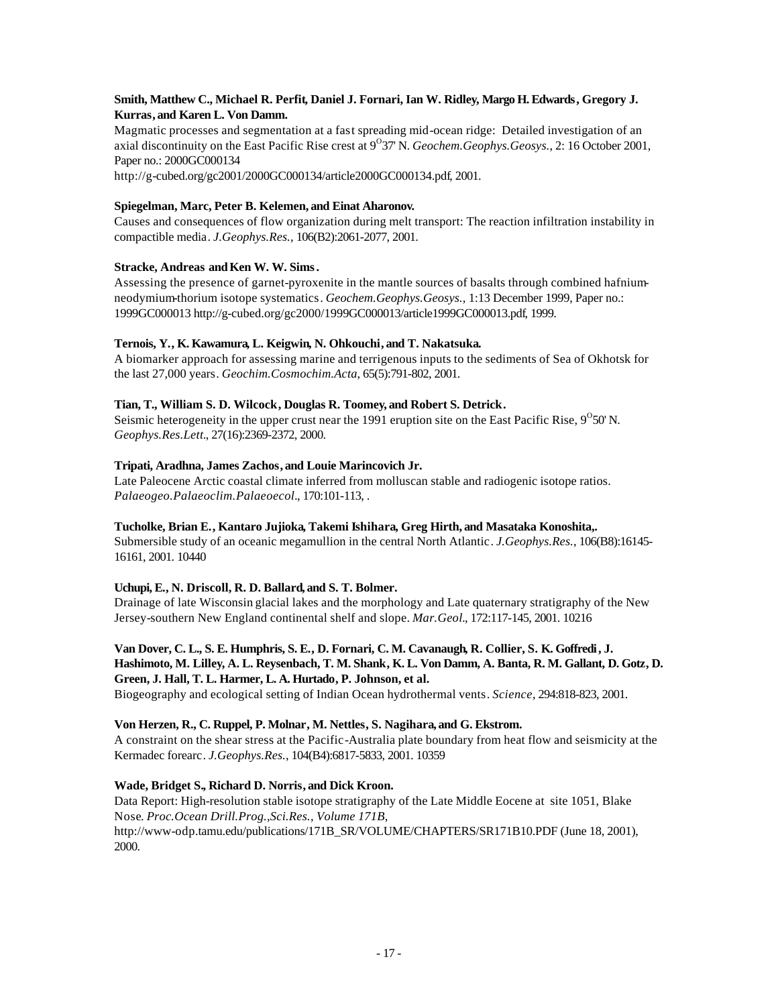# **Smith, Matthew C., Michael R. Perfit, Daniel J. Fornari, Ian W. Ridley, Margo H. Edwards, Gregory J. Kurras, and Karen L. Von Damm.**

Magmatic processes and segmentation at a fast spreading mid-ocean ridge: Detailed investigation of an axial discontinuity on the East Pacific Rise crest at 9<sup>0</sup>37' N. *Geochem.Geophys.Geosys.*, 2: 16 October 2001, Paper no.: 2000GC000134

http://g-cubed.org/gc2001/2000GC000134/article2000GC000134.pdf, 2001.

# **Spiegelman, Marc, Peter B. Kelemen, and Einat Aharonov.**

Causes and consequences of flow organization during melt transport: The reaction infiltration instability in compactible media. *J.Geophys.Res.*, 106(B2):2061-2077, 2001.

# Stracke, Andreas and Ken W. W. Sims.

Assessing the presence of garnet-pyroxenite in the mantle sources of basalts through combined hafniumneodymium-thorium isotope systematics. *Geochem.Geophys.Geosys.,* 1:13 December 1999, Paper no.: 1999GC000013 http://g-cubed.org/gc2000/1999GC000013/article1999GC000013.pdf, 1999.

# **Ternois, Y., K. Kawamura, L. Keigwin, N. Ohkouchi, and T. Nakatsuka.**

A biomarker approach for assessing marine and terrigenous inputs to the sediments of Sea of Okhotsk for the last 27,000 years. *Geochim.Cosmochim.Acta*, 65(5):791-802, 2001.

# **Tian, T., William S. D. Wilcock, Douglas R. Toomey, and Robert S. Detrick.**

Seismic heterogeneity in the upper crust near the 1991 eruption site on the East Pacific Rise,  $9^{\circ}50'$  N. *Geophys.Res.Lett.*, 27(16):2369-2372, 2000.

# **Tripati, Aradhna, James Zachos, and Louie Marincovich Jr.**

Late Paleocene Arctic coastal climate inferred from molluscan stable and radiogenic isotope ratios. *Palaeogeo.Palaeoclim.Palaeoecol.*, 170:101-113, .

# **Tucholke, Brian E., Kantaro Jujioka, Takemi Ishihara, Greg Hirth, and Masataka Konoshita,.**

Submersible study of an oceanic megamullion in the central North Atlantic. *J.Geophys.Res.*, 106(B8):16145- 16161, 2001. 10440

# **Uchupi, E., N. Driscoll, R. D. Ballard, and S. T. Bolmer.**

Drainage of late Wisconsin glacial lakes and the morphology and Late quaternary stratigraphy of the New Jersey-southern New England continental shelf and slope. *Mar.Geol.*, 172:117-145, 2001. 10216

# **Van Dover, C. L., S. E. Humphris, S. E., D. Fornari, C. M. Cavanaugh, R. Collier, S. K. Goffredi, J. Hashimoto, M. Lilley, A. L. Reysenbach, T. M. Shank, K. L. Von Damm, A. Banta, R. M. Gallant, D. Gotz, D. Green, J. Hall, T. L. Harmer, L. A. Hurtado, P. Johnson, et al.**

Biogeography and ecological setting of Indian Ocean hydrothermal vents. *Science*, 294:818-823, 2001.

# **Von Herzen, R., C. Ruppel, P. Molnar, M. Nettles, S. Nagihara, and G. Ekstrom.**

A constraint on the shear stress at the Pacific-Australia plate boundary from heat flow and seismicity at the Kermadec forearc. *J.Geophys.Res.*, 104(B4):6817-5833, 2001. 10359

# **Wade, Bridget S., Richard D. Norris, and Dick Kroon.**

Data Report: High-resolution stable isotope stratigraphy of the Late Middle Eocene at site 1051, Blake Nose. *Proc.Ocean Drill.Prog.,Sci.Res., Volume 171B*, http://www-odp.tamu.edu/publications/171B\_SR/VOLUME/CHAPTERS/SR171B10.PDF (June 18, 2001), 2000.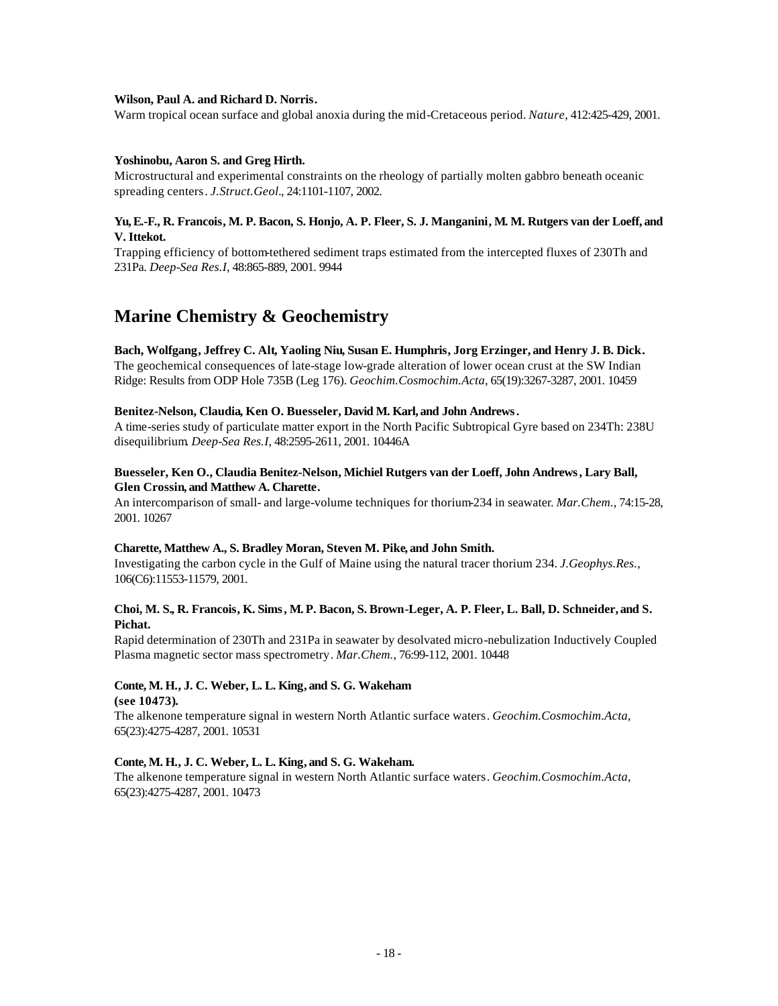#### **Wilson, Paul A. and Richard D. Norris.**

Warm tropical ocean surface and global anoxia during the mid-Cretaceous period. *Nature*, 412:425-429, 2001.

#### **Yoshinobu, Aaron S. and Greg Hirth.**

Microstructural and experimental constraints on the rheology of partially molten gabbro beneath oceanic spreading centers. *J.Struct.Geol.*, 24:1101-1107, 2002.

#### **Yu, E.-F., R. Francois, M. P. Bacon, S. Honjo, A. P. Fleer, S. J. Manganini, M. M. Rutgers van der Loeff, and V. Ittekot.**

Trapping efficiency of bottom-tethered sediment traps estimated from the intercepted fluxes of 230Th and 231Pa. *Deep-Sea Res.I*, 48:865-889, 2001. 9944

# **Marine Chemistry & Geochemistry**

# **Bach, Wolfgang, Jeffrey C. Alt, Yaoling Niu, Susan E. Humphris, Jorg Erzinger, and Henry J. B. Dick.**

The geochemical consequences of late-stage low-grade alteration of lower ocean crust at the SW Indian Ridge: Results from ODP Hole 735B (Leg 176). *Geochim.Cosmochim.Acta*, 65(19):3267-3287, 2001. 10459

#### **Benitez-Nelson, Claudia, Ken O. Buesseler, David M. Karl, and John Andrews.**

A time-series study of particulate matter export in the North Pacific Subtropical Gyre based on 234Th: 238U disequilibrium. *Deep-Sea Res.I*, 48:2595-2611, 2001. 10446A

# **Buesseler, Ken O., Claudia Benitez-Nelson, Michiel Rutgers van der Loeff, John Andrews, Lary Ball, Glen Crossin, and Matthew A. Charette.**

An intercomparison of small- and large-volume techniques for thorium-234 in seawater. *Mar.Chem.*, 74:15-28, 2001. 10267

#### **Charette, Matthew A., S. Bradley Moran, Steven M. Pike, and John Smith.**

Investigating the carbon cycle in the Gulf of Maine using the natural tracer thorium 234. *J.Geophys.Res.*, 106(C6):11553-11579, 2001.

#### **Choi, M. S., R. Francois, K. Sims, M. P. Bacon, S. Brown-Leger, A. P. Fleer, L. Ball, D. Schneider, and S. Pichat.**

Rapid determination of 230Th and 231Pa in seawater by desolvated micro-nebulization Inductively Coupled Plasma magnetic sector mass spectrometry. *Mar.Chem.*, 76:99-112, 2001. 10448

#### **Conte, M. H., J. C. Weber, L. L. King, and S. G. Wakeham (see 10473).**

The alkenone temperature signal in western North Atlantic surface waters. *Geochim.Cosmochim.Acta*, 65(23):4275-4287, 2001. 10531

### **Conte, M. H., J. C. Weber, L. L. King, and S. G. Wakeham.**

The alkenone temperature signal in western North Atlantic surface waters. *Geochim.Cosmochim.Acta*, 65(23):4275-4287, 2001. 10473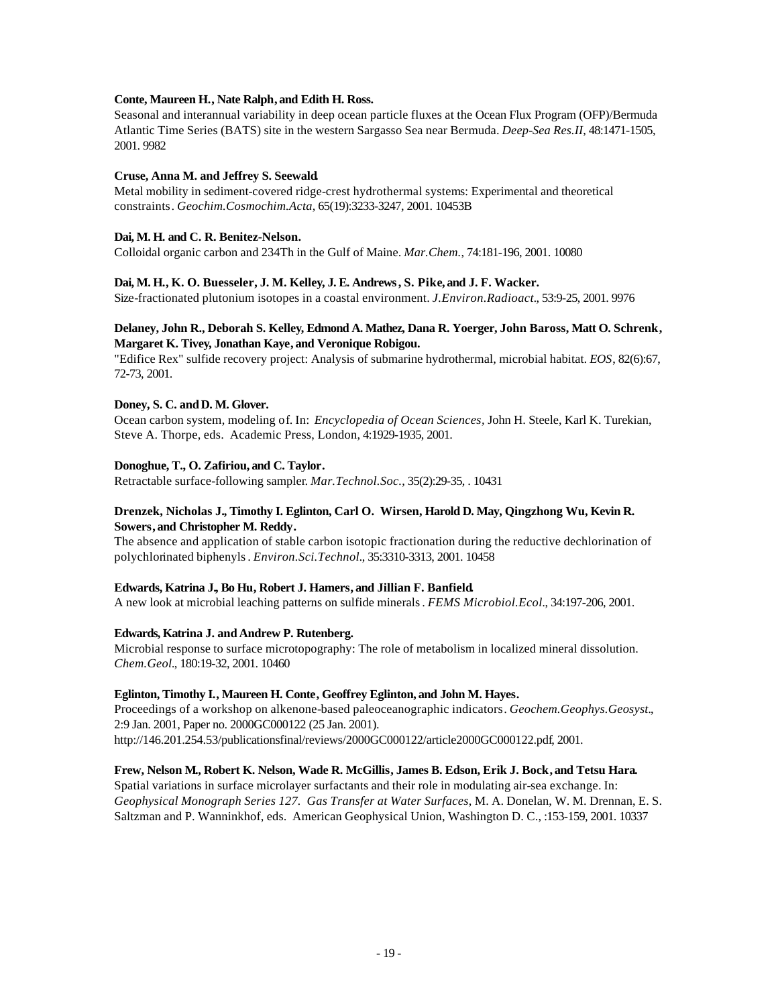#### **Conte, Maureen H., Nate Ralph, and Edith H. Ross.**

Seasonal and interannual variability in deep ocean particle fluxes at the Ocean Flux Program (OFP)/Bermuda Atlantic Time Series (BATS) site in the western Sargasso Sea near Bermuda. *Deep-Sea Res.II*, 48:1471-1505, 2001. 9982

### **Cruse, Anna M. and Jeffrey S. Seewald.**

Metal mobility in sediment-covered ridge-crest hydrothermal systems: Experimental and theoretical constraints. *Geochim.Cosmochim.Acta*, 65(19):3233-3247, 2001. 10453B

# **Dai, M. H. and C. R. Benitez-Nelson.**

Colloidal organic carbon and 234Th in the Gulf of Maine. *Mar.Chem.*, 74:181-196, 2001. 10080

### **Dai, M. H., K. O. Buesseler, J. M. Kelley, J. E. Andrews, S. Pike, and J. F. Wacker.**

Size-fractionated plutonium isotopes in a coastal environment. *J.Environ.Radioact.*, 53:9-25, 2001. 9976

### **Delaney, John R., Deborah S. Kelley, Edmond A. Mathez, Dana R. Yoerger, John Baross, Matt O. Schrenk, Margaret K. Tivey, Jonathan Kaye, and Veronique Robigou.**

"Edifice Rex" sulfide recovery project: Analysis of submarine hydrothermal, microbial habitat. *EOS*, 82(6):67, 72-73, 2001.

#### **Doney, S. C. andD. M. Glover.**

Ocean carbon system, modeling of. In: *Encyclopedia of Ocean Sciences,* John H. Steele, Karl K. Turekian, Steve A. Thorpe, eds. Academic Press, London, 4:1929-1935, 2001.

### **Donoghue, T., O. Zafiriou, and C. Taylor.**

Retractable surface-following sampler. *Mar.Technol.Soc.*, 35(2):29-35, . 10431

# **Drenzek, Nicholas J., Timothy I. Eglinton, Carl O. Wirsen, Harold D. May, Qingzhong Wu, Kevin R. Sowers, and Christopher M. Reddy.**

The absence and application of stable carbon isotopic fractionation during the reductive dechlorination of polychlorinated biphenyls. *Environ.Sci.Technol.*, 35:3310-3313, 2001. 10458

# **Edwards, Katrina J., Bo Hu, Robert J. Hamers, and Jillian F. Banfield.**

A new look at microbial leaching patterns on sulfide minerals. *FEMS Microbiol.Ecol.*, 34:197-206, 2001.

#### **Edwards, Katrina J. and Andrew P. Rutenberg.**

Microbial response to surface microtopography: The role of metabolism in localized mineral dissolution. *Chem.Geol.*, 180:19-32, 2001. 10460

#### **Eglinton, Timothy I., Maureen H. Conte, Geoffrey Eglinton, and John M. Hayes.**

Proceedings of a workshop on alkenone-based paleoceanographic indicators. *Geochem.Geophys.Geosyst.*, 2:9 Jan. 2001, Paper no. 2000GC000122 (25 Jan. 2001). http://146.201.254.53/publicationsfinal/reviews/2000GC000122/article2000GC000122.pdf, 2001.

#### **Frew, Nelson M., Robert K. Nelson, Wade R. McGillis, James B. Edson, Erik J. Bock, and Tetsu Hara.**

Spatial variations in surface microlayer surfactants and their role in modulating air-sea exchange. In: *Geophysical Monograph Series 127. Gas Transfer at Water Surfaces*, M. A. Donelan, W. M. Drennan, E. S. Saltzman and P. Wanninkhof, eds. American Geophysical Union, Washington D. C., :153-159, 2001. 10337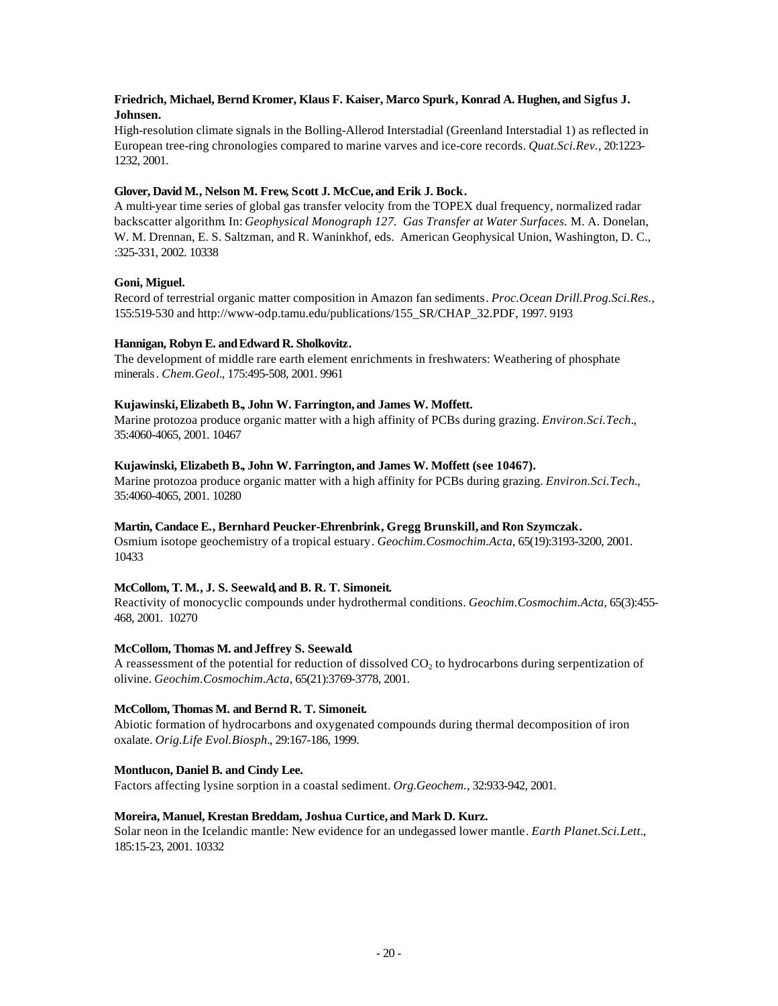# **Friedrich, Michael, Bernd Kromer, Klaus F. Kaiser, Marco Spurk, Konrad A. Hughen, and Sigfus J. Johnsen.**

High-resolution climate signals in the Bolling-Allerod Interstadial (Greenland Interstadial 1) as reflected in European tree-ring chronologies compared to marine varves and ice-core records. *Quat.Sci.Rev.*, 20:1223- 1232, 2001.

# **Glover, David M., Nelson M. Frew, Scott J. McCue, and Erik J. Bock.**

A multi-year time series of global gas transfer velocity from the TOPEX dual frequency, normalized radar backscatter algorithm. In: *Geophysical Monograph 127. Gas Transfer at Water Surfaces.* M. A. Donelan, W. M. Drennan, E. S. Saltzman, and R. Waninkhof, eds. American Geophysical Union, Washington, D. C., :325-331, 2002. 10338

### **Goni, Miguel.**

Record of terrestrial organic matter composition in Amazon fan sediments. *Proc.Ocean Drill.Prog.Sci.Res.*, 155:519-530 and http://www-odp.tamu.edu/publications/155\_SR/CHAP\_32.PDF, 1997. 9193

### Hannigan, Robyn E. and Edward R. Sholkovitz.

The development of middle rare earth element enrichments in freshwaters: Weathering of phosphate minerals. *Chem.Geol.*, 175:495-508, 2001. 9961

### **Kujawinski, Elizabeth B., John W. Farrington, and James W. Moffett.**

Marine protozoa produce organic matter with a high affinity of PCBs during grazing. *Environ.Sci.Tech.*, 35:4060-4065, 2001. 10467

#### **Kujawinski, Elizabeth B., John W. Farrington, and James W. Moffett (see 10467).**

Marine protozoa produce organic matter with a high affinity for PCBs during grazing. *Environ.Sci.Tech.*, 35:4060-4065, 2001. 10280

#### **Martin, Candace E., Bernhard Peucker-Ehrenbrink, Gregg Brunskill, and Ron Szymczak.**

Osmium isotope geochemistry of a tropical estuary. *Geochim.Cosmochim.Acta*, 65(19):3193-3200, 2001. 10433

#### **McCollom, T. M., J. S. Seewald, and B. R. T. Simoneit.**

Reactivity of monocyclic compounds under hydrothermal conditions. *Geochim.Cosmochim.Acta*, 65(3):455- 468, 2001. 10270

#### **McCollom, Thomas M. andJeffrey S. Seewald.**

A reassessment of the potential for reduction of dissolved  $CO<sub>2</sub>$  to hydrocarbons during serpentization of olivine. *Geochim.Cosmochim.Acta*, 65(21):3769-3778, 2001.

#### **McCollom, Thomas M. and Bernd R. T. Simoneit.**

Abiotic formation of hydrocarbons and oxygenated compounds during thermal decomposition of iron oxalate. *Orig.Life Evol.Biosph.*, 29:167-186, 1999.

#### **Montlucon, Daniel B. and Cindy Lee.**

Factors affecting lysine sorption in a coastal sediment. *Org.Geochem.*, 32:933-942, 2001.

#### **Moreira, Manuel, Krestan Breddam, Joshua Curtice, and Mark D. Kurz.**

Solar neon in the Icelandic mantle: New evidence for an undegassed lower mantle. *Earth Planet.Sci.Lett.*, 185:15-23, 2001. 10332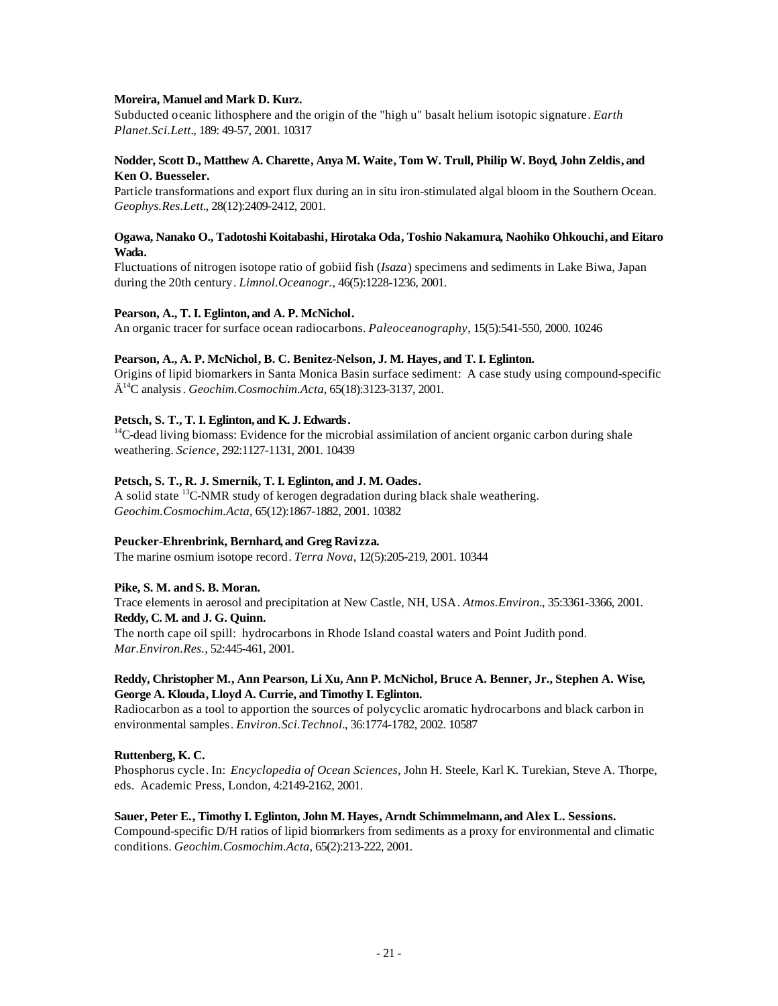#### **Moreira, Manuel and Mark D. Kurz.**

Subducted oceanic lithosphere and the origin of the "high u" basalt helium isotopic signature. *Earth Planet.Sci.Lett.*, 189: 49-57, 2001. 10317

### **Nodder, Scott D., Matthew A. Charette, Anya M. Waite, Tom W. Trull, Philip W. Boyd, John Zeldis, and Ken O. Buesseler.**

Particle transformations and export flux during an in situ iron-stimulated algal bloom in the Southern Ocean. *Geophys.Res.Lett.*, 28(12):2409-2412, 2001.

#### **Ogawa, Nanako O., Tadotoshi Koitabashi, Hirotaka Oda, Toshio Nakamura, Naohiko Ohkouchi, and Eitaro Wada.**

Fluctuations of nitrogen isotope ratio of gobiid fish (*Isaza*) specimens and sediments in Lake Biwa, Japan during the 20th century. *Limnol.Oceanogr.*, 46(5):1228-1236, 2001.

### **Pearson, A., T. I. Eglinton, and A. P. McNichol.**

An organic tracer for surface ocean radiocarbons. *Paleoceanography*, 15(5):541-550, 2000. 10246

#### **Pearson, A., A. P. McNichol, B. C. Benitez-Nelson, J. M. Hayes, and T. I. Eglinton.**

Origins of lipid biomarkers in Santa Monica Basin surface sediment: A case study using compound-specific Ä <sup>14</sup>C analysis. *Geochim.Cosmochim.Acta*, 65(18):3123-3137, 2001.

# **Petsch, S. T., T. I. Eglinton, and K. J. Edwards.**

<sup>14</sup>C-dead living biomass: Evidence for the microbial assimilation of ancient organic carbon during shale weathering. *Science*, 292:1127-1131, 2001. 10439

### **Petsch, S. T., R. J. Smernik, T. I. Eglinton, and J. M. Oades.**

A solid state  ${}^{13}$ C-NMR study of kerogen degradation during black shale weathering. *Geochim.Cosmochim.Acta*, 65(12):1867-1882, 2001. 10382

# **Peucker-Ehrenbrink, Bernhard, and Greg Ravi zza.**

The marine osmium isotope record. *Terra Nova*, 12(5):205-219, 2001. 10344

#### **Pike, S. M. and S. B. Moran.**

Trace elements in aerosol and precipitation at New Castle, NH, USA. *Atmos.Environ.*, 35:3361-3366, 2001. **Reddy, C. M. and J. G. Quinn.** The north cape oil spill: hydrocarbons in Rhode Island coastal waters and Point Judith pond.

*Mar.Environ.Res.*, 52:445-461, 2001.

### **Reddy, Christopher M., Ann Pearson, Li Xu, Ann P. McNichol, Bruce A. Benner, Jr., Stephen A. Wise, George A. Klouda, Lloyd A. Currie, and Timothy I. Eglinton.**

Radiocarbon as a tool to apportion the sources of polycyclic aromatic hydrocarbons and black carbon in environmental samples. *Environ.Sci.Technol.*, 36:1774-1782, 2002. 10587

# **Ruttenberg, K. C.**

Phosphorus cycle. In: *Encyclopedia of Ocean Sciences,* John H. Steele, Karl K. Turekian, Steve A. Thorpe, eds. Academic Press, London, 4:2149-2162, 2001.

#### **Sauer, Peter E., Timothy I. Eglinton, John M. Hayes, Arndt Schimmelmann, and Alex L. Sessions.**

Compound-specific D/H ratios of lipid biomarkers from sediments as a proxy for environmental and climatic conditions. *Geochim.Cosmochim.Acta*, 65(2):213-222, 2001.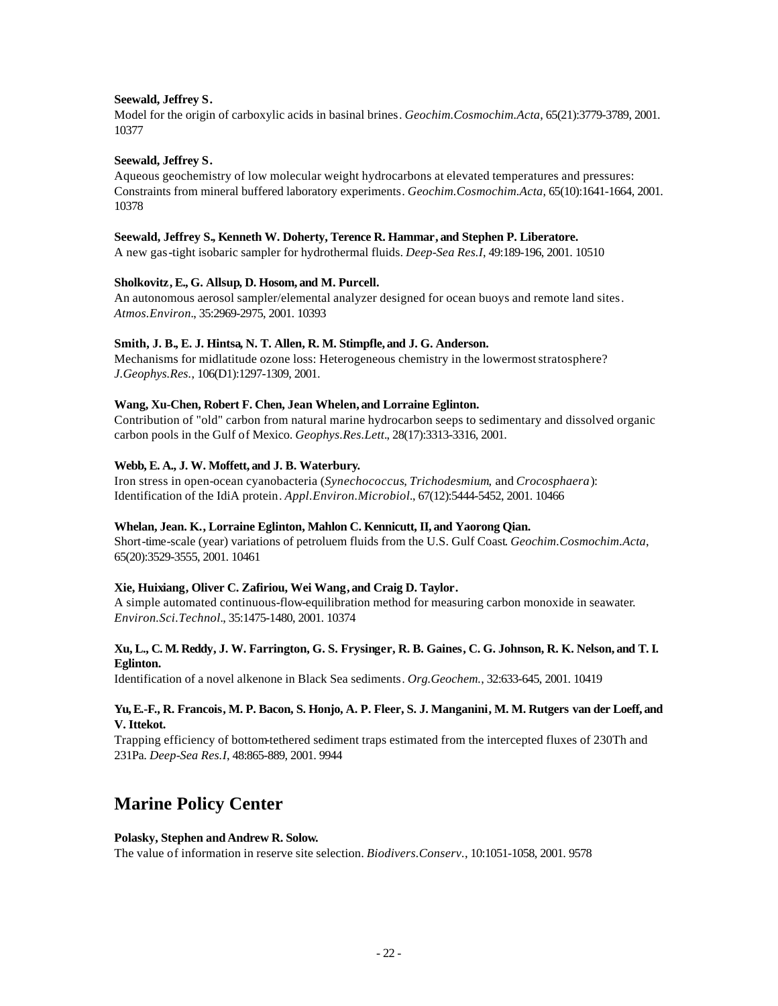# **Seewald, Jeffrey S.**

Model for the origin of carboxylic acids in basinal brines. *Geochim.Cosmochim.Acta*, 65(21):3779-3789, 2001. 10377

### **Seewald, Jeffrey S.**

Aqueous geochemistry of low molecular weight hydrocarbons at elevated temperatures and pressures: Constraints from mineral buffered laboratory experiments. *Geochim.Cosmochim.Acta*, 65(10):1641-1664, 2001. 10378

#### **Seewald, Jeffrey S., Kenneth W. Doherty, Terence R. Hammar, and Stephen P. Liberatore.**

A new gas-tight isobaric sampler for hydrothermal fluids. *Deep-Sea Res.I*, 49:189-196, 2001. 10510

### **Sholkovitz, E., G. Allsup, D. Hosom, and M. Purcell.**

An autonomous aerosol sampler/elemental analyzer designed for ocean buoys and remote land sites. *Atmos.Environ.*, 35:2969-2975, 2001. 10393

### **Smith, J. B., E. J. Hintsa, N. T. Allen, R. M. Stimpfle, and J. G. Anderson.**

Mechanisms for midlatitude ozone loss: Heterogeneous chemistry in the lowermost stratosphere? *J.Geophys.Res.*, 106(D1):1297-1309, 2001.

### **Wang, Xu-Chen, Robert F. Chen, Jean Whelen, and Lorraine Eglinton.**

Contribution of "old" carbon from natural marine hydrocarbon seeps to sedimentary and dissolved organic carbon pools in the Gulf of Mexico. *Geophys.Res.Lett.*, 28(17):3313-3316, 2001.

### **Webb, E. A., J. W. Moffett, and J. B. Waterbury.**

Iron stress in open-ocean cyanobacteria (*Synechococcus*, *Trichodesmium*, and *Crocosphaera*): Identification of the IdiA protein. *Appl.Environ.Microbiol.*, 67(12):5444-5452, 2001. 10466

#### **Whelan, Jean. K., Lorraine Eglinton, Mahlon C. Kennicutt, II, and Yaorong Qian.**

Short-time-scale (year) variations of petroluem fluids from the U.S. Gulf Coast. *Geochim.Cosmochim.Acta*, 65(20):3529-3555, 2001. 10461

# **Xie, Huixiang, Oliver C. Zafiriou, Wei Wang, and Craig D. Taylor.**

A simple automated continuous-flow-equilibration method for measuring carbon monoxide in seawater. *Environ.Sci.Technol.*, 35:1475-1480, 2001. 10374

### **Xu, L., C. M. Reddy, J. W. Farrington, G. S. Frysinger, R. B. Gaines, C. G. Johnson, R. K. Nelson, and T. I. Eglinton.**

Identification of a novel alkenone in Black Sea sediments. *Org.Geochem.*, 32:633-645, 2001. 10419

### **Yu, E.-F., R. Francois, M. P. Bacon, S. Honjo, A. P. Fleer, S. J. Manganini, M. M. Rutgers van der Loeff, and V. Ittekot.**

Trapping efficiency of bottom-tethered sediment traps estimated from the intercepted fluxes of 230Th and 231Pa. *Deep-Sea Res.I*, 48:865-889, 2001. 9944

# **Marine Policy Center**

# **Polasky, Stephen and Andrew R. Solow.**

The value of information in reserve site selection. *Biodivers.Conserv.*, 10:1051-1058, 2001. 9578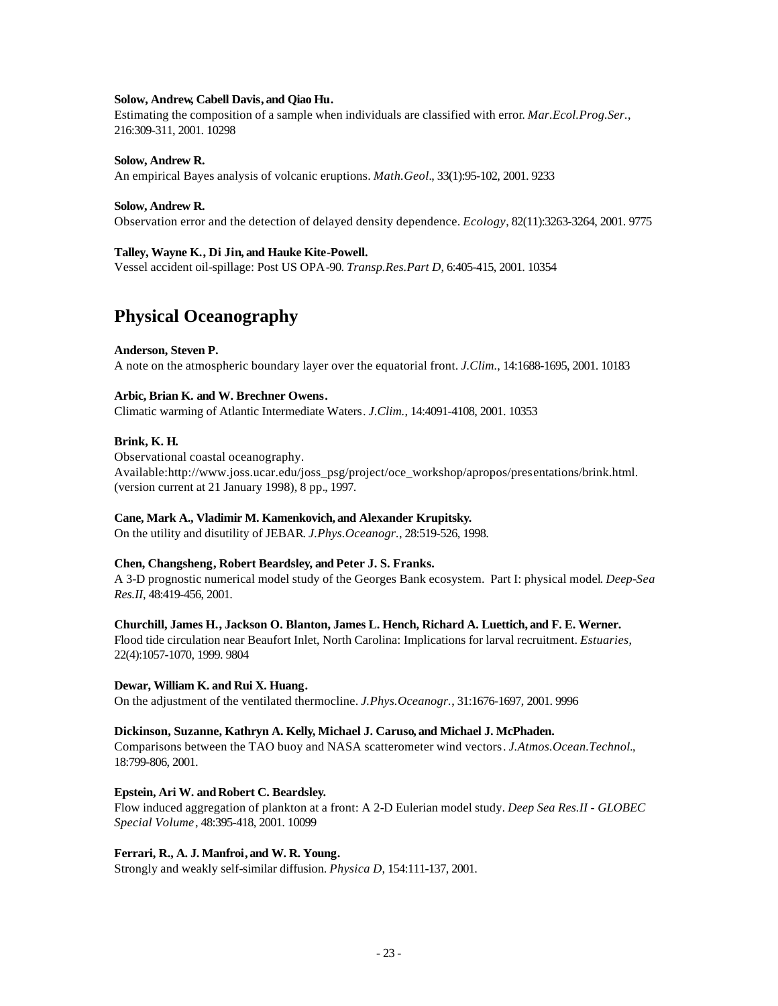#### **Solow, Andrew, Cabell Davis, and Qiao Hu.**

Estimating the composition of a sample when individuals are classified with error. *Mar.Ecol.Prog.Ser.*, 216:309-311, 2001. 10298

#### **Solow, Andrew R.**

An empirical Bayes analysis of volcanic eruptions. *Math.Geol.*, 33(1):95-102, 2001. 9233

#### **Solow, Andrew R.**

Observation error and the detection of delayed density dependence. *Ecology*, 82(11):3263-3264, 2001. 9775

# **Talley, Wayne K., Di Jin, and Hauke Kite-Powell.**

Vessel accident oil-spillage: Post US OPA-90. *Transp.Res.Part D*, 6:405-415, 2001. 10354

# **Physical Oceanography**

#### **Anderson, Steven P.**

A note on the atmospheric boundary layer over the equatorial front. *J.Clim.*, 14:1688-1695, 2001. 10183

#### **Arbic, Brian K. and W. Brechner Owens.**

Climatic warming of Atlantic Intermediate Waters. *J.Clim.*, 14:4091-4108, 2001. 10353

#### **Brink, K. H.**

Observational coastal oceanography. Available:http://www.joss.ucar.edu/joss\_psg/project/oce\_workshop/apropos/presentations/brink.html. (version current at 21 January 1998), 8 pp., 1997.

#### **Cane, Mark A., Vladimir M. Kamenkovich, and Alexander Krupitsky.**

On the utility and disutility of JEBAR. *J.Phys.Oceanogr.*, 28:519-526, 1998.

#### **Chen, Changsheng, Robert Beardsley, and Peter J. S. Franks.**

A 3-D prognostic numerical model study of the Georges Bank ecosystem. Part I: physical model. *Deep-Sea Res.II*, 48:419-456, 2001.

#### **Churchill, James H., Jackson O. Blanton, James L. Hench, Richard A. Luettich, and F. E. Werner.**

Flood tide circulation near Beaufort Inlet, North Carolina: Implications for larval recruitment. *Estuaries*, 22(4):1057-1070, 1999. 9804

#### **Dewar, William K. and Rui X. Huang.**

On the adjustment of the ventilated thermocline. *J.Phys.Oceanogr.*, 31:1676-1697, 2001. 9996

#### **Dickinson, Suzanne, Kathryn A. Kelly, Michael J. Caruso, and Michael J. McPhaden.**

Comparisons between the TAO buoy and NASA scatterometer wind vectors. *J.Atmos.Ocean.Technol.*, 18:799-806, 2001.

#### Epstein, Ari W. and Robert C. Beardsley.

Flow induced aggregation of plankton at a front: A 2-D Eulerian model study. *Deep Sea Res.II - GLOBEC Special Volume*, 48:395-418, 2001. 10099

#### **Ferrari, R., A. J. Manfroi, and W. R. Young.**

Strongly and weakly self-similar diffusion. *Physica D*, 154:111-137, 2001.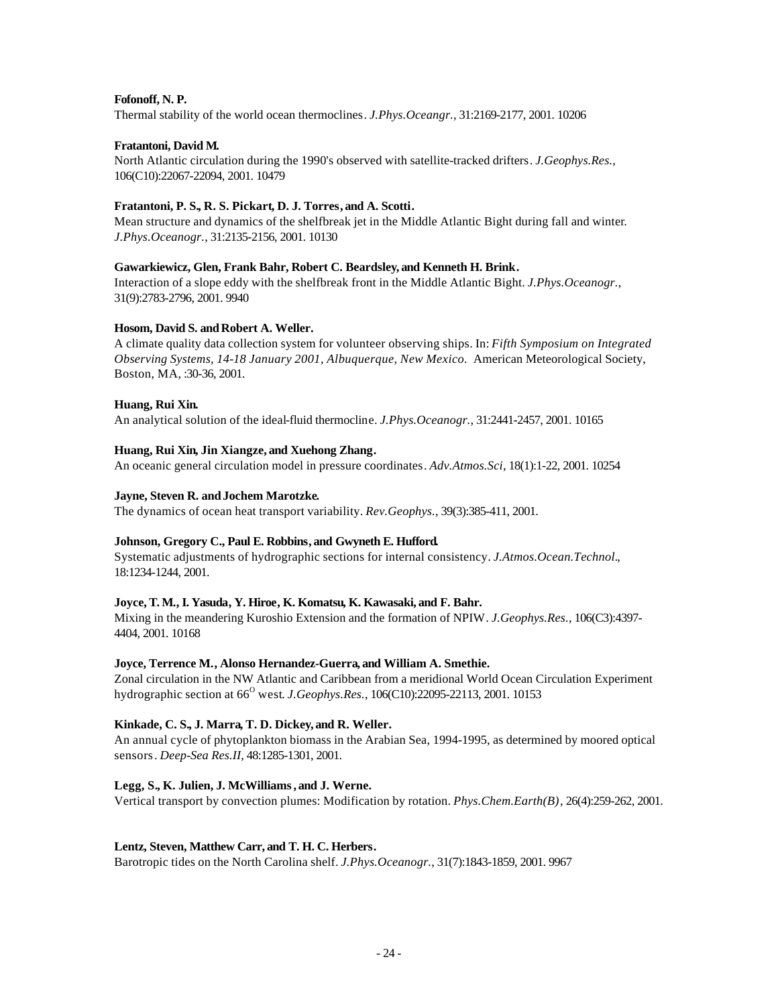#### **Fofonoff, N. P.**

Thermal stability of the world ocean thermoclines. *J.Phys.Oceangr.*, 31:2169-2177, 2001. 10206

### **Fratantoni, David M.**

North Atlantic circulation during the 1990's observed with satellite-tracked drifters. *J.Geophys.Res.*, 106(C10):22067-22094, 2001. 10479

# **Fratantoni, P. S., R. S. Pickart, D. J. Torres, and A. Scotti.**

Mean structure and dynamics of the shelfbreak jet in the Middle Atlantic Bight during fall and winter. *J.Phys.Oceanogr.*, 31:2135-2156, 2001. 10130

#### **Gawarkiewicz, Glen, Frank Bahr, Robert C. Beardsley, and Kenneth H. Brink.**

Interaction of a slope eddy with the shelfbreak front in the Middle Atlantic Bight. *J.Phys.Oceanogr.*, 31(9):2783-2796, 2001. 9940

### Hosom, David S. and Robert A. Weller.

A climate quality data collection system for volunteer observing ships. In: *Fifth Symposium on Integrated Observing Systems, 14-18 January 2001, Albuquerque, New Mexico.* American Meteorological Society, Boston, MA, :30-36, 2001.

### **Huang, Rui Xin.**

An analytical solution of the ideal-fluid thermocline. *J.Phys.Oceanogr.*, 31:2441-2457, 2001. 10165

### **Huang, Rui Xin, Jin Xiangze, and Xuehong Zhang.**

An oceanic general circulation model in pressure coordinates. *Adv.Atmos.Sci*, 18(1):1-22, 2001. 10254

### **Jayne, Steven R. and Jochem Marotzke.**

The dynamics of ocean heat transport variability. *Rev.Geophys.*, 39(3):385-411, 2001.

# **Johnson, Gregory C., Paul E. Robbins, and Gwyneth E. Hufford.**

Systematic adjustments of hydrographic sections for internal consistency. *J.Atmos.Ocean.Technol.*, 18:1234-1244, 2001.

#### **Joyce, T. M., I. Yasuda, Y. Hiroe, K. Komatsu, K. Kawasaki, and F. Bahr.**

Mixing in the meandering Kuroshio Extension and the formation of NPIW. *J.Geophys.Res.*, 106(C3):4397- 4404, 2001. 10168

#### **Joyce, Terrence M., Alonso Hernandez-Guerra, and William A. Smethie.**

Zonal circulation in the NW Atlantic and Caribbean from a meridional World Ocean Circulation Experiment hydrographic section at 66<sup>0</sup> west. *J.Geophys.Res.*, 106(C10):22095-22113, 2001. 10153

#### **Kinkade, C. S., J. Marra, T. D. Dickey, and R. Weller.**

An annual cycle of phytoplankton biomass in the Arabian Sea, 1994-1995, as determined by moored optical sensors. *Deep-Sea Res.II*, 48:1285-1301, 2001.

#### **Legg, S., K. Julien, J. McWilliams, and J. Werne.**

Vertical transport by convection plumes: Modification by rotation. *Phys.Chem.Earth(B)*, 26(4):259-262, 2001.

#### **Lentz, Steven, Matthew Carr, and T. H. C. Herbers.**

Barotropic tides on the North Carolina shelf. *J.Phys.Oceanogr.*, 31(7):1843-1859, 2001. 9967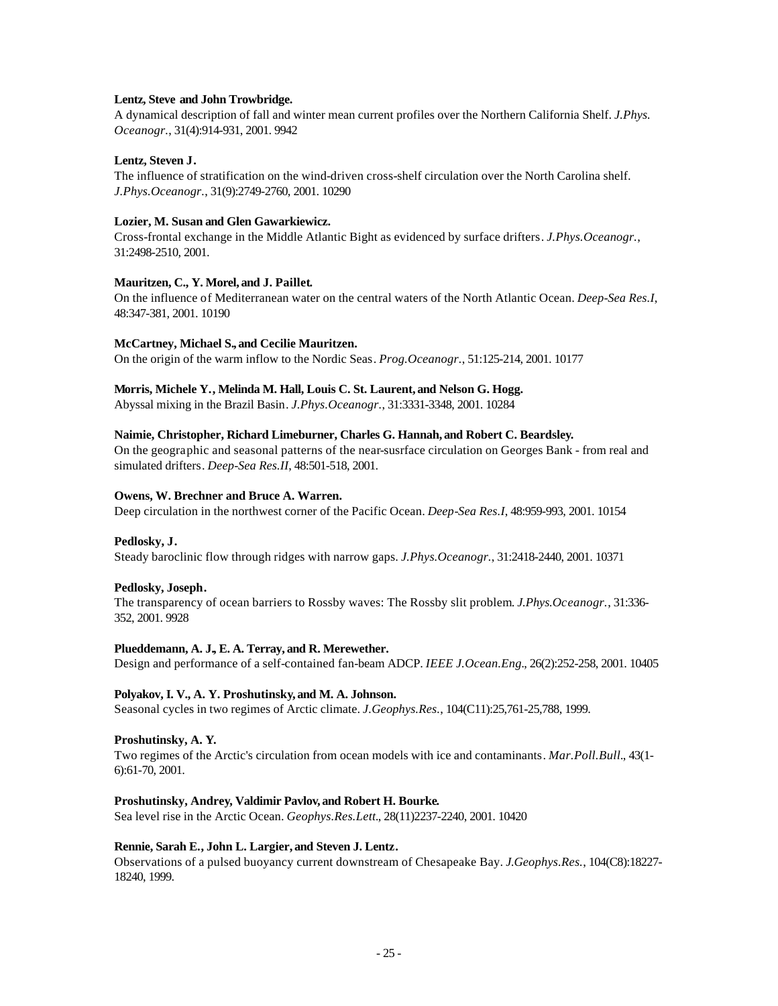#### **Lentz, Steve and John Trowbridge.**

A dynamical description of fall and winter mean current profiles over the Northern California Shelf. *J.Phys. Oceanogr.*, 31(4):914-931, 2001. 9942

# **Lentz, Steven J.**

The influence of stratification on the wind-driven cross-shelf circulation over the North Carolina shelf. *J.Phys.Oceanogr.*, 31(9):2749-2760, 2001. 10290

#### **Lozier, M. Susan and Glen Gawarkiewicz.**

Cross-frontal exchange in the Middle Atlantic Bight as evidenced by surface drifters. *J.Phys.Oceanogr.*, 31:2498-2510, 2001.

### **Mauritzen, C., Y. Morel, and J. Paillet.**

On the influence of Mediterranean water on the central waters of the North Atlantic Ocean. *Deep-Sea Res.I*, 48:347-381, 2001. 10190

### **McCartney, Michael S., and Cecilie Mauritzen.**

On the origin of the warm inflow to the Nordic Seas. *Prog.Oceanogr.*, 51:125-214, 2001. 10177

### **Morris, Michele Y., Melinda M. Hall, Louis C. St. Laurent, and Nelson G. Hogg.**

Abyssal mixing in the Brazil Basin. *J.Phys.Oceanogr.*, 31:3331-3348, 2001. 10284

### **Naimie, Christopher, Richard Limeburner, Charles G. Hannah, and Robert C. Beardsley.**

On the geographic and seasonal patterns of the near-susrface circulation on Georges Bank - from real and simulated drifters. *Deep-Sea Res.II*, 48:501-518, 2001.

### **Owens, W. Brechner and Bruce A. Warren.**

Deep circulation in the northwest corner of the Pacific Ocean. *Deep-Sea Res.I*, 48:959-993, 2001. 10154

# **Pedlosky, J.**

Steady baroclinic flow through ridges with narrow gaps. *J.Phys.Oceanogr.*, 31:2418-2440, 2001. 10371

# **Pedlosky, Joseph.**

The transparency of ocean barriers to Rossby waves: The Rossby slit problem. *J.Phys.Oceanogr.*, 31:336- 352, 2001. 9928

#### **Plueddemann, A. J., E. A. Terray, and R. Merewether.**

Design and performance of a self-contained fan-beam ADCP. *IEEE J.Ocean.Eng.*, 26(2):252-258, 2001. 10405

#### **Polyakov, I. V., A. Y. Proshutinsky, and M. A. Johnson.**

Seasonal cycles in two regimes of Arctic climate. *J.Geophys.Res.*, 104(C11):25,761-25,788, 1999.

# **Proshutinsky, A. Y.**

Two regimes of the Arctic's circulation from ocean models with ice and contaminants. *Mar.Poll.Bull.*, 43(1- 6):61-70, 2001.

#### **Proshutinsky, Andrey, Valdimir Pavlov, and Robert H. Bourke.**

Sea level rise in the Arctic Ocean. *Geophys.Res.Lett.*, 28(11)2237-2240, 2001. 10420

#### **Rennie, Sarah E., John L. Largier, and Steven J. Lentz.**

Observations of a pulsed buoyancy current downstream of Chesapeake Bay. *J.Geophys.Res.*, 104(C8):18227- 18240, 1999.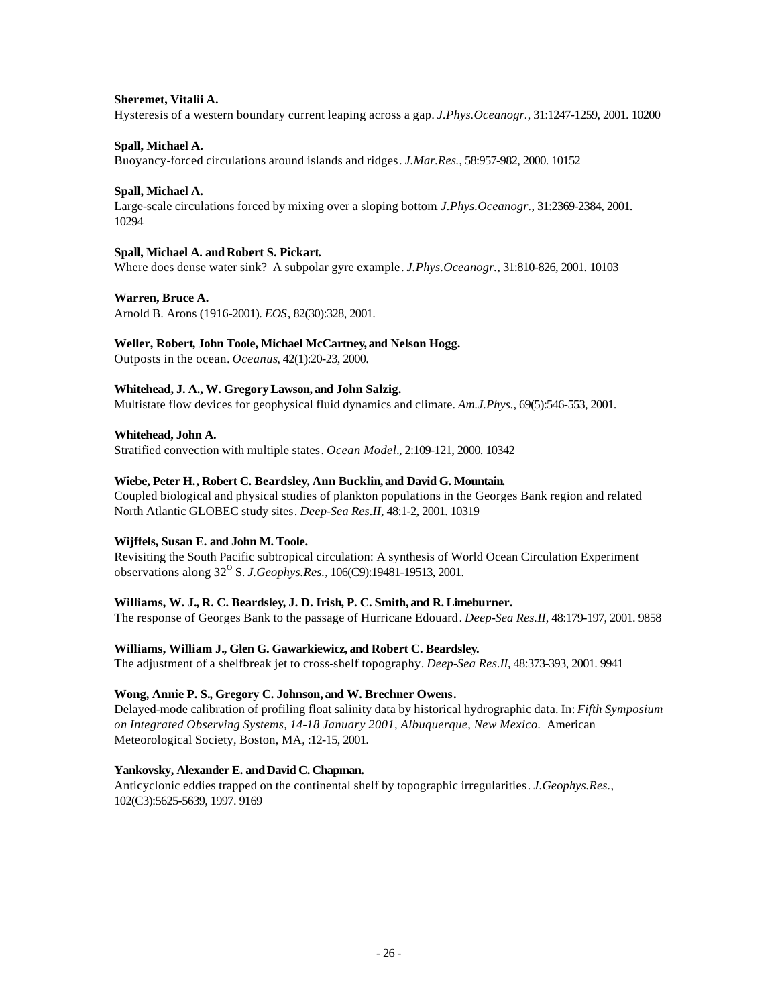#### **Sheremet, Vitalii A.**

Hysteresis of a western boundary current leaping across a gap. *J.Phys.Oceanogr.*, 31:1247-1259, 2001. 10200

#### **Spall, Michael A.**

Buoyancy-forced circulations around islands and ridges. *J.Mar.Res.*, 58:957-982, 2000. 10152

### **Spall, Michael A.**

Large-scale circulations forced by mixing over a sloping bottom. *J.Phys.Oceanogr.*, 31:2369-2384, 2001. 10294

### **Spall, Michael A. andRobert S. Pickart.**

Where does dense water sink? A subpolar gyre example. *J.Phys.Oceanogr.*, 31:810-826, 2001. 10103

### **Warren, Bruce A.**

Arnold B. Arons (1916-2001). *EOS*, 82(30):328, 2001.

### **Weller, Robert, John Toole, Michael McCartney, and Nelson Hogg.**

Outposts in the ocean. *Oceanus*, 42(1):20-23, 2000.

### **Whitehead, J. A., W. Gregory Lawson, and John Salzig.**

Multistate flow devices for geophysical fluid dynamics and climate. *Am.J.Phys.*, 69(5):546-553, 2001.

#### **Whitehead, John A.**

Stratified convection with multiple states. *Ocean Model.*, 2:109-121, 2000. 10342

### **Wiebe, Peter H., Robert C. Beardsley, Ann Bucklin, and David G. Mountain.**

Coupled biological and physical studies of plankton populations in the Georges Bank region and related North Atlantic GLOBEC study sites. *Deep-Sea Res.II*, 48:1-2, 2001. 10319

#### **Wijffels, Susan E. and John M. Toole.**

Revisiting the South Pacific subtropical circulation: A synthesis of World Ocean Circulation Experiment observations along 32<sup>°</sup> S. *J. Geophys.Res.*, 106(C9):19481-19513, 2001.

#### **Williams, W. J., R. C. Beardsley, J. D. Irish, P. C. Smith, and R. Limeburner.**

The response of Georges Bank to the passage of Hurricane Edouard. *Deep-Sea Res.II*, 48:179-197, 2001. 9858

# **Williams, William J., Glen G. Gawarkiewicz, and Robert C. Beardsley.**

The adjustment of a shelfbreak jet to cross-shelf topography. *Deep-Sea Res.II*, 48:373-393, 2001. 9941

#### **Wong, Annie P. S., Gregory C. Johnson, and W. Brechner Owens.**

Delayed-mode calibration of profiling float salinity data by historical hydrographic data. In: *Fifth Symposium on Integrated Observing Systems, 14-18 January 2001, Albuquerque, New Mexico.* American Meteorological Society, Boston, MA, :12-15, 2001.

#### Yankovsky, Alexander E. and David C. Chapman.

Anticyclonic eddies trapped on the continental shelf by topographic irregularities. *J.Geophys.Res.*, 102(C3):5625-5639, 1997. 9169